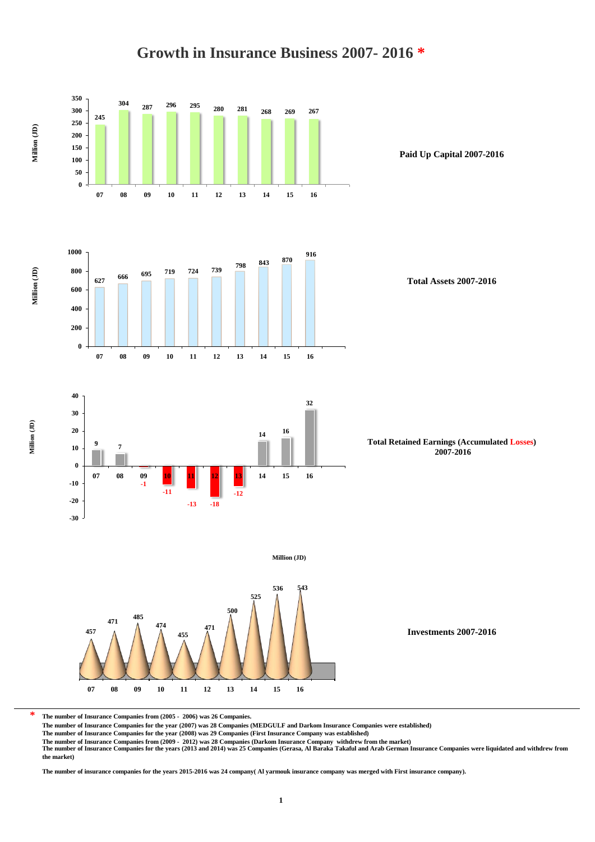

# **Growth in Insurance Business 2007- 2016 \***

**\* The number of Insurance Companies from (2005 - 2006) was 26 Companies.**

**The number of Insurance Companies for the year (2007) was 28 Companies (MEDGULF and Darkom Insurance Companies were established)**

**The number of Insurance Companies for the year (2008) was 29 Companies (First Insurance Company was established)**

The number of Insurance Companies from (2009 - 2012) was 28 Companies (Darkom Insurance Company withdrew from the market)<br>The number of Insurance Companies for the years (2013 and 2014) was 25 Companies (Gerasa, Al Baraka **the market)**

**The number of insurance companies for the years 2015-2016 was 24 company( Al yarmouk insurance company was merged with First insurance company).**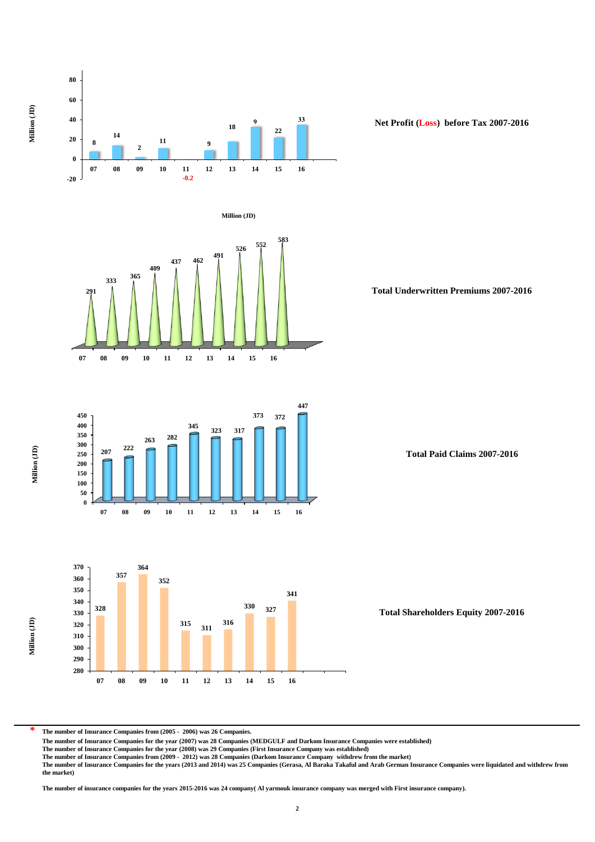

**The number of Insurance Companies from (2005 - 2006) was 26 Companies.**

**\***

**The number of Insurance Companies for the year (2007) was 28 Companies (MEDGULF and Darkom Insurance Companies were established)**

**The number of Insurance Companies for the year (2008) was 29 Companies (First Insurance Company was established)**

The number of Insurance Companies from (2009 - 2012) was 28 Companies (Darkom Insurance Company withdrew from the market)<br>The number of Insurance Companies for the years (2013 and 2014) was 25 Companies (Gerasa, Al Baraka **the market)**

**The number of insurance companies for the years 2015-2016 was 24 company( Al yarmouk insurance company was merged with First insurance company).**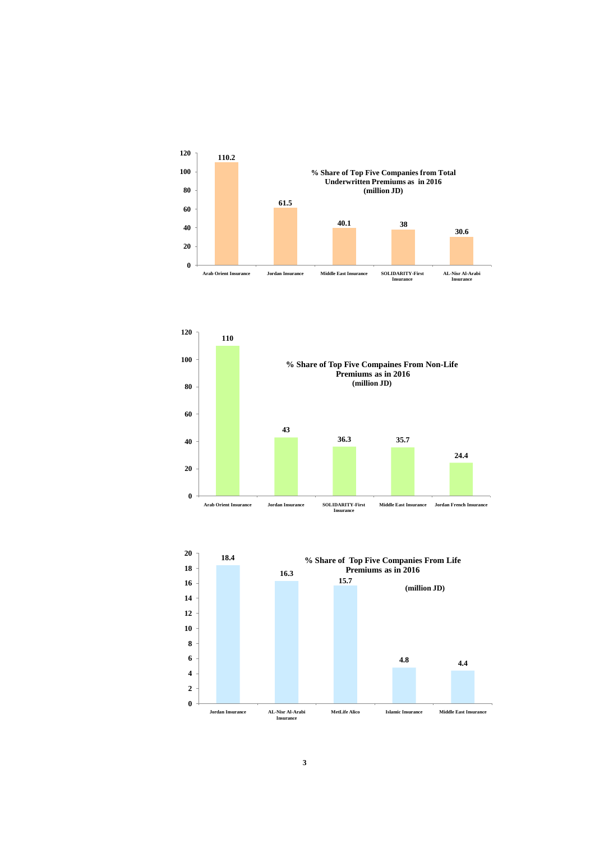



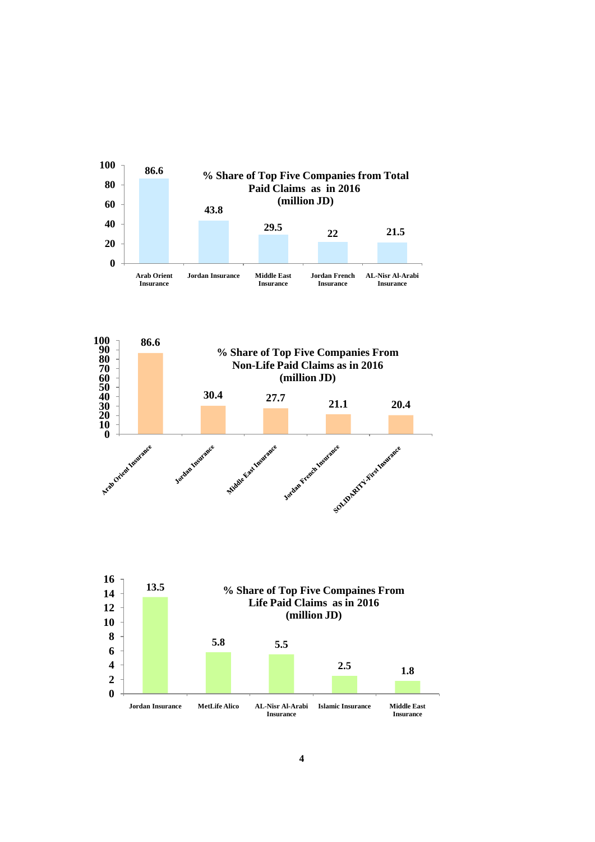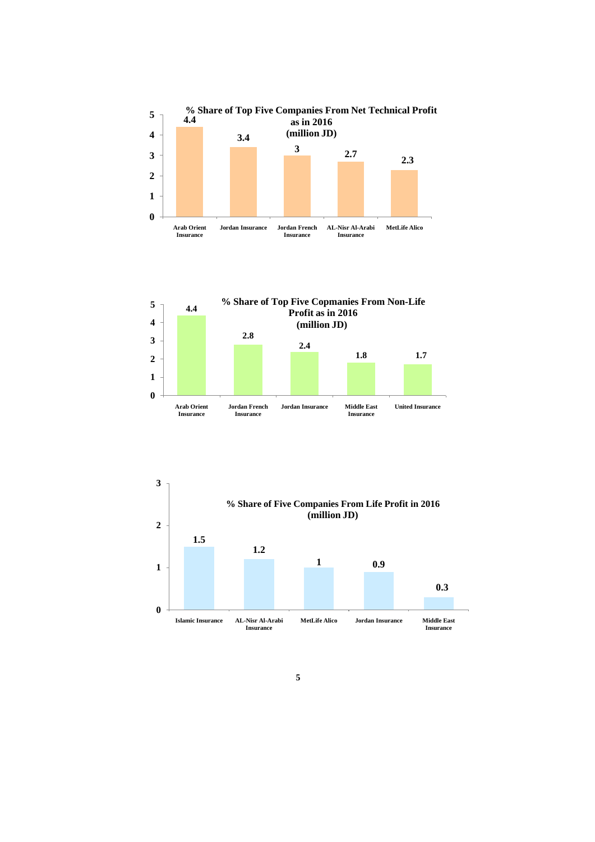





**5**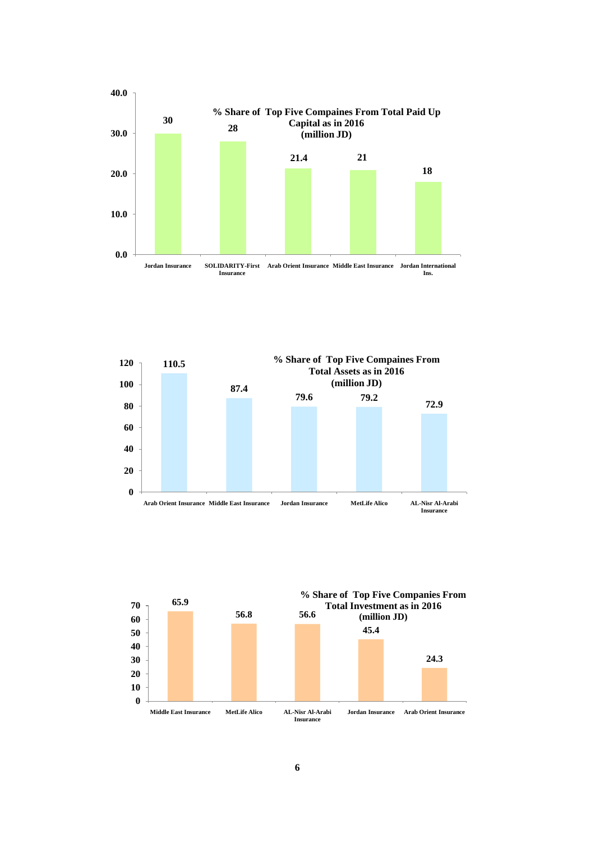



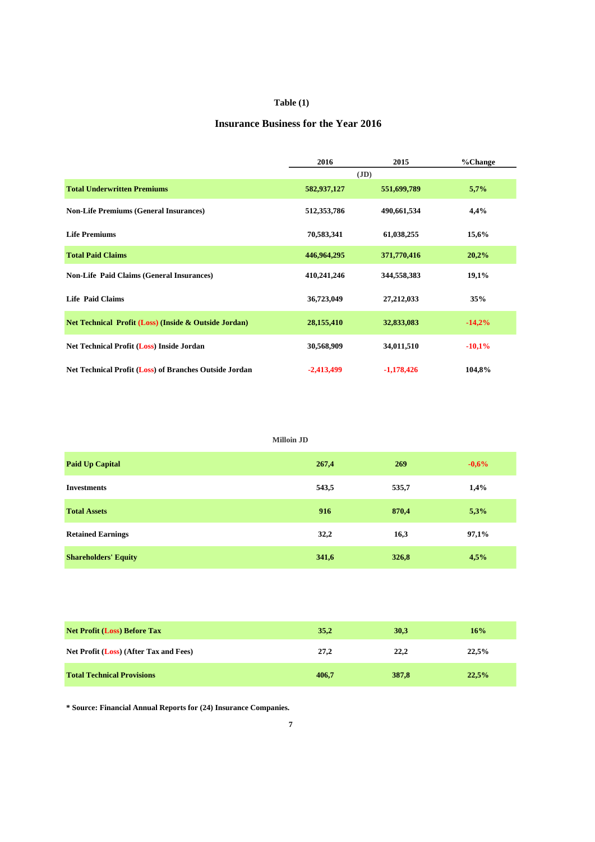#### **Table (1)**

#### **Insurance Business for the Year 2016**

|                                                                  | 2016         | 2015         | %Change  |
|------------------------------------------------------------------|--------------|--------------|----------|
|                                                                  |              | (JD)         |          |
| <b>Total Underwritten Premiums</b>                               | 582,937,127  | 551,699,789  | 5,7%     |
| <b>Non-Life Premiums (General Insurances)</b>                    | 512,353,786  | 490,661,534  | 4,4%     |
| <b>Life Premiums</b>                                             | 70,583,341   | 61,038,255   | 15,6%    |
| <b>Total Paid Claims</b>                                         | 446,964,295  | 371,770,416  | 20,2%    |
| <b>Non-Life Paid Claims (General Insurances)</b>                 | 410,241,246  | 344,558,383  | 19,1%    |
| <b>Life Paid Claims</b>                                          | 36,723,049   | 27, 212, 033 | 35%      |
| <b>Net Technical Profit (Loss) (Inside &amp; Outside Jordan)</b> | 28,155,410   | 32,833,083   | $-14,2%$ |
| Net Technical Profit (Loss) Inside Jordan                        | 30,568,909   | 34,011,510   | $-10,1%$ |
| Net Technical Profit (Loss) of Branches Outside Jordan           | $-2,413,499$ | $-1,178,426$ | 104,8%   |

| <b>Milloin JD</b>           |       |       |         |  |  |  |  |  |  |  |
|-----------------------------|-------|-------|---------|--|--|--|--|--|--|--|
| <b>Paid Up Capital</b>      | 267,4 | 269   | $-0,6%$ |  |  |  |  |  |  |  |
| <b>Investments</b>          | 543,5 | 535,7 | 1,4%    |  |  |  |  |  |  |  |
| <b>Total Assets</b>         | 916   | 870,4 | 5,3%    |  |  |  |  |  |  |  |
| <b>Retained Earnings</b>    | 32,2  | 16,3  | 97,1%   |  |  |  |  |  |  |  |
| <b>Shareholders' Equity</b> | 341,6 | 326,8 | 4,5%    |  |  |  |  |  |  |  |

| <b>Net Profit (Loss) Before Tax</b>    | 35,2  | 30,3  | 16%   |
|----------------------------------------|-------|-------|-------|
| Net Profit (Loss) (After Tax and Fees) | 27,2  | 22,2  | 22.5% |
| <b>Total Technical Provisions</b>      | 406,7 | 387,8 | 22.5% |

**\* Source: Financial Annual Reports for (24) Insurance Companies.**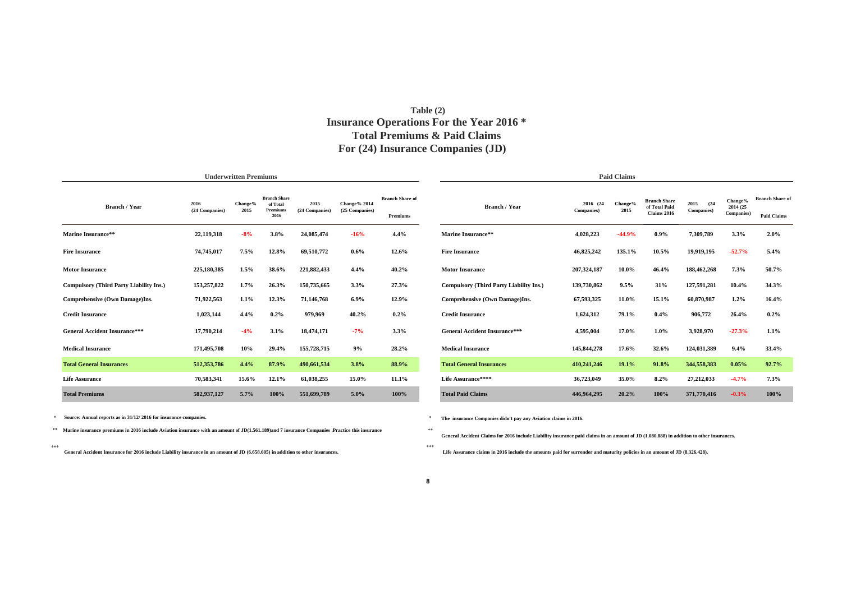#### **For (24) Insurance Companies (JD) Total Premiums & Paid Claims Insurance Operations For the Year 2016 \* Table (2)**

|                                                |                        | <b>Underwritten Premiums</b> |                                                    |                        |                                |                                    | <b>Paid Claims</b>                             |                         |                 |                                                     |                            |                                    |                                              |  |
|------------------------------------------------|------------------------|------------------------------|----------------------------------------------------|------------------------|--------------------------------|------------------------------------|------------------------------------------------|-------------------------|-----------------|-----------------------------------------------------|----------------------------|------------------------------------|----------------------------------------------|--|
| <b>Branch / Year</b>                           | 2016<br>(24 Companies) | Change%<br>2015              | <b>Branch Share</b><br>of Total<br>Premium<br>2016 | 2015<br>(24 Companies) | Change% 2014<br>(25 Companies) | <b>Branch Share of</b><br>Premiums | <b>Branch / Year</b>                           | 2016 (24)<br>Companies) | Change%<br>2015 | <b>Branch Share</b><br>of Total Paid<br>Claims 2016 | 2015<br>(24)<br>Companies) | Change%<br>2014 (25)<br>Companies) | <b>Branch Share of</b><br><b>Paid Claims</b> |  |
| Marine Insurance**                             | 22,119,318             | $-8%$                        | 3.8%                                               | 24,085,474             | $-16%$                         | 4.4%                               | Marine Insurance**                             | 4,028,223               | $-44.9%$        | $0.9\%$                                             | 7,309,789                  | 3.3%                               | $2.0\%$                                      |  |
| <b>Fire Insurance</b>                          | 74,745,017             | 7.5%                         | 12.8%                                              | 69,510,772             | $0.6\%$                        | 12.6%                              | <b>Fire Insurance</b>                          | 46,825,242              | 135.1%          | 10.5%                                               | 19,919,195                 | $-52.7%$                           | 5.4%                                         |  |
| <b>Motor Insurance</b>                         | 225,180,385            | 1.5%                         | 38.6%                                              | 221,882,433            | 4.4%                           | 40.2%                              | <b>Motor Insurance</b>                         | 207,324,187             | $10.0\%$        | 46.4%                                               | 188,462,268                | 7.3%                               | 50.7%                                        |  |
| <b>Compulsory (Third Party Liability Ins.)</b> | 153,257,822            | 1.7%                         | 26.3%                                              | 150,735,665            | 3.3%                           | 27.3%                              | <b>Compulsory (Third Party Liability Ins.)</b> | 139,730,862             | 9.5%            | 31%                                                 | 127,591,281                | 10.4%                              | 34.3%                                        |  |
| Comprehensive (Own Damage)Ins.                 | 71,922,563             | 1.1%                         | 12.3%                                              | 71,146,768             | $6.9\%$                        | 12.9%                              | Comprehensive (Own Damage)Ins.                 | 67,593,325              | 11.0%           | 15.1%                                               | 60,870,987                 | 1.2%                               | 16.4%                                        |  |
| <b>Credit Insurance</b>                        | 1,023,144              | 4.4%                         | $0.2\%$                                            | 979,969                | 40.2%                          | $0.2\%$                            | <b>Credit Insurance</b>                        | 1,624,312               | 79.1%           | $0.4\%$                                             | 906,772                    | 26.4%                              | $0.2\%$                                      |  |
| <b>General Accident Insurance***</b>           | 17,790,214             | $-4%$                        | 3.1%                                               | 18,474,171             | $-7%$                          | 3.3%                               | <b>General Accident Insurance***</b>           | 4,595,004               | 17.0%           | $1.0\%$                                             | 3,928,970                  | $-27.3%$                           | 1.1%                                         |  |
| <b>Medical Insurance</b>                       | 171,495,708            | 10%                          | 29.4%                                              | 155,728,715            | 9%                             | 28.2%                              | <b>Medical Insurance</b>                       | 145,844,278             | 17.6%           | 32.6%                                               | 124,031,389                | 9.4%                               | 33.4%                                        |  |
| <b>Total General Insurances</b>                | 512,353,786            | 4.4%                         | 87.9%                                              | 490,661,534            | 3.8%                           | 88.9%                              | <b>Total General Insurances</b>                | 410,241,246             | 19.1%           | 91.8%                                               | 344,558,383                | 0.05%                              | 92.7%                                        |  |
| <b>Life Assurance</b>                          | 70,583,341             | 15.6%                        | 12.1%                                              | 61,038,255             | 15.0%                          | 11.1%                              | Life Assurance****                             | 36,723,049              | 35.0%           | 8.2%                                                | 27,212,033                 | $-4.7%$                            | 7.3%                                         |  |
| <b>Total Premiums</b>                          | 582,937,127            | 5.7%                         | 100%                                               | 551,699,789            | $5.0\%$                        | 100%                               | <b>Total Paid Claims</b>                       | 446,964,295             | 20.2%           | 100%                                                | 371,770,416                | $-0.3%$                            | 100%                                         |  |

\* \*  **Source: Annual reports as in 31/12/ 2016 for insurance companies.**

\*\* \*\* **Marine insurance premiums in 2016 include Aviation insurance with an amount of JD(1.561.189)and 7 insurance Companies .Practice this insurance**

\*\*\* \*\*\*  **General Accident Insurance for 2016 include Liability insurance in an amount of JD (6.658.605) in addition to other insurances.**

**The insurance Companies didn't pay any Aviation claims in 2016.**

**General Accident Claims for 2016 include Liability insurance paid claims in an amount of JD (1.080.888) in addition to other insurances.**

 **Life Assurance claims in 2016 include the amounts paid for surrender and maturity policies in an amount of JD (8.326.428).**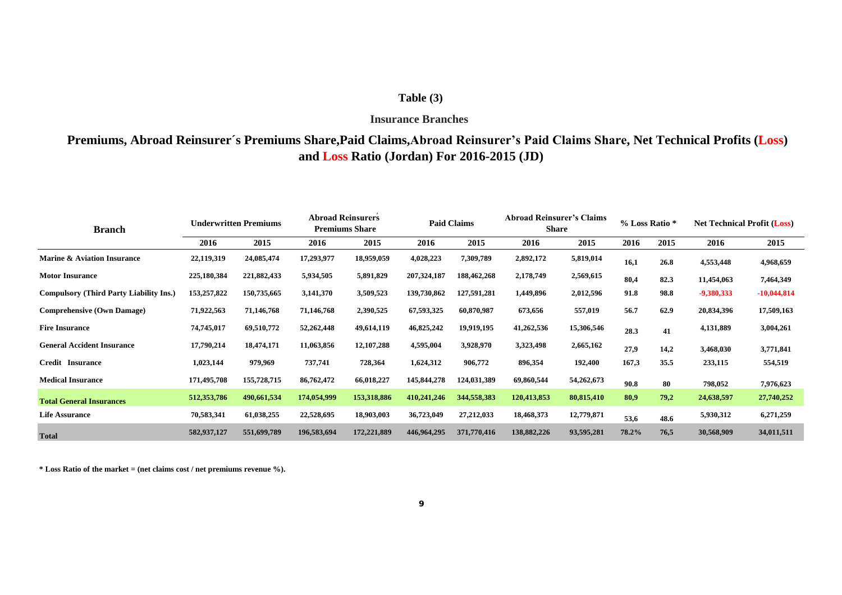#### **Table (3)**

#### **Insurance Branches**

## **Premiums, Abroad Reinsurer´s Premiums Share,Paid Claims,Abroad Reinsurer's Paid Claims Share, Net Technical Profits (Loss) and Loss Ratio (Jordan) For 2016-2015 (JD)**

| <b>Branch</b>                                  | <b>Underwritten Premiums</b> |             | <b>Abroad Reinsurers</b><br><b>Premiums Share</b> |              | <b>Paid Claims</b> |             | <b>Abroad Reinsurer's Claims</b><br><b>Share</b> |            | % Loss Ratio * |      | <b>Net Technical Profit (Loss)</b> |               |
|------------------------------------------------|------------------------------|-------------|---------------------------------------------------|--------------|--------------------|-------------|--------------------------------------------------|------------|----------------|------|------------------------------------|---------------|
|                                                | 2016                         | 2015        | 2016                                              | 2015         | 2016               | 2015        | 2016                                             | 2015       | 2016           | 2015 | 2016                               | 2015          |
| <b>Marine &amp; Aviation Insurance</b>         | 22,119,319                   | 24,085,474  | 17,293,977                                        | 18,959,059   | 4,028,223          | 7,309,789   | 2,892,172                                        | 5,819,014  | 16,1           | 26.8 | 4,553,448                          | 4,968,659     |
| <b>Motor Insurance</b>                         | 225,180,384                  | 221,882,433 | 5,934,505                                         | 5,891,829    | 207,324,187        | 188,462,268 | 2,178,749                                        | 2,569,615  | 80,4           | 82.3 | 11,454,063                         | 7,464,349     |
| <b>Compulsory (Third Party Liability Ins.)</b> | 153,257,822                  | 150,735,665 | 3,141,370                                         | 3,509,523    | 139,730,862        | 127,591,281 | 1,449,896                                        | 2,012,596  | 91.8           | 98.8 | -9,380,333                         | $-10,044,814$ |
| <b>Comprehensive (Own Damage)</b>              | 71,922,563                   | 71,146,768  | 71,146,768                                        | 2,390,525    | 67,593,325         | 60,870,987  | 673,656                                          | 557,019    | 56.7           | 62.9 | 20,834,396                         | 17,509,163    |
| <b>Fire Insurance</b>                          | 74,745,017                   | 69,510,772  | 52,262,448                                        | 49,614,119   | 46,825,242         | 19,919,195  | 41,262,536                                       | 15,306,546 | 28.3           | 41   | 4,131,889                          | 3,004,261     |
| <b>General Accident Insurance</b>              | 17,790,214                   | 18,474,171  | 11,063,856                                        | 12, 107, 288 | 4,595,004          | 3,928,970   | 3,323,498                                        | 2,665,162  | 27.9           | 14,2 | 3,468,030                          | 3,771,841     |
| <b>Credit Insurance</b>                        | 1,023,144                    | 979,969     | 737,741                                           | 728,364      | 1,624,312          | 906,772     | 896,354                                          | 192,400    | 167,3          | 35.5 | 233,115                            | 554,519       |
| <b>Medical Insurance</b>                       | 171,495,708                  | 155,728,715 | 86,762,472                                        | 66,018,227   | 145,844,278        | 124,031,389 | 69,860,544                                       | 54,262,673 | 90.8           | 80   | 798,052                            | 7,976,623     |
| <b>Total General Insurances</b>                | 512,353,786                  | 490,661,534 | 174,054,999                                       | 153,318,886  | 410,241,246        | 344,558,383 | 120,413,853                                      | 80,815,410 | 80,9           | 79,2 | 24,638,597                         | 27,740,252    |
| <b>Life Assurance</b>                          | 70,583,341                   | 61,038,255  | 22,528,695                                        | 18,903,003   | 36,723,049         | 27,212,033  | 18,468,373                                       | 12,779,871 | 53,6           | 48.6 | 5,930,312                          | 6,271,259     |
| <b>Total</b>                                   | 582,937,127                  | 551,699,789 | 196,583,694                                       | 172,221,889  | 446,964,295        | 371,770,416 | 138,882,226                                      | 93,595,281 | 78.2%          | 76,5 | 30,568,909                         | 34,011,511    |

**\* Loss Ratio of the market = (net claims cost / net premiums revenue %).**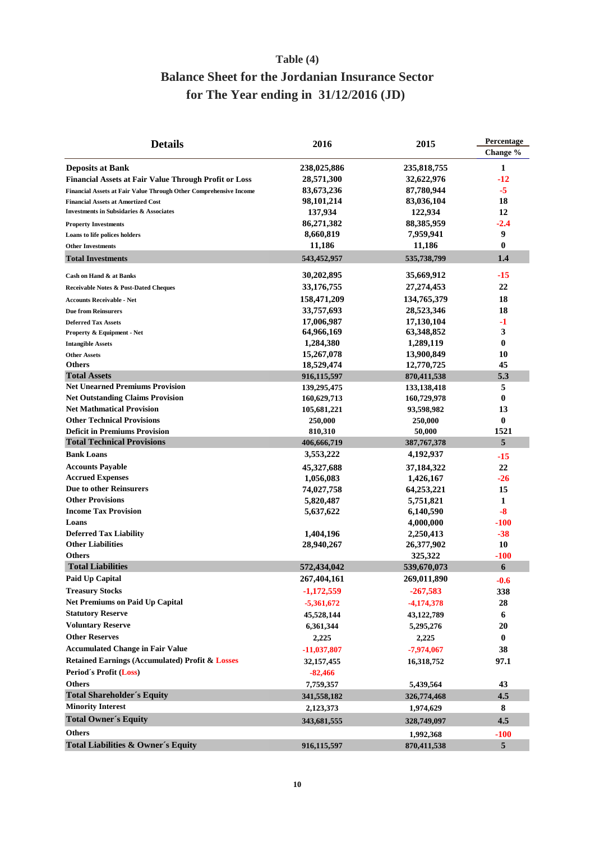## **Table (4)**

# **for The Year ending in 31/12/2016 (JD) Balance Sheet for the Jordanian Insurance Sector**

| Change %<br><b>Deposits at Bank</b><br>238,025,886<br>235,818,755<br>1<br>28,571,300<br>32,622,976<br>-12<br><b>Financial Assets at Fair Value Through Profit or Loss</b><br>87,780,944<br>-5<br>83,673,236<br>Financial Assets at Fair Value Through Other Comprehensive Income<br>98,101,214<br>83,036,104<br>18<br><b>Financial Assets at Amortized Cost</b><br>137,934<br>122,934<br>12<br><b>Investments in Subsidaries &amp; Associates</b><br>86,271,382<br>88,385,959<br>-2.4<br><b>Property Investments</b><br>9<br>8,660,819<br>7,959,941<br>Loans to life polices holders<br>11,186<br>11,186<br>$\bf{0}$<br><b>Other Investments</b><br>543,452,957<br>535,738,799<br>1.4<br><b>Total Investments</b><br>30,202,895<br>35,669,912<br>-15<br>Cash on Hand & at Banks<br>33,176,755<br>27,274,453<br>22<br>Receivable Notes & Post-Dated Cheques<br>134,765,379<br>158,471,209<br>18<br><b>Accounts Receivable - Net</b><br>33,757,693<br>28,523,346<br>18<br><b>Due from Reinsurers</b><br>17,130,104<br>17,006,987<br>-1<br><b>Deferred Tax Assets</b><br>3<br>64,966,169<br>63,348,852<br>Property & Equipment - Net<br>1,284,380<br>1,289,119<br>$\bf{0}$<br><b>Intangible Assets</b><br>15,267,078<br>13,900,849<br>10<br><b>Other Assets</b><br><b>Others</b><br>18,529,474<br>12,770,725<br>45<br><b>Total Assets</b><br>5.3<br>870,411,538<br>916,115,597<br><b>Net Unearned Premiums Provision</b><br>5<br>139,295,475<br>133,138,418<br><b>Net Outstanding Claims Provision</b><br>$\bf{0}$<br>160,629,713<br>160,729,978<br><b>Net Mathmatical Provision</b><br>13<br>105,681,221<br>93,598,982<br><b>Other Technical Provisions</b><br>$\bf{0}$<br>250,000<br>250,000<br><b>Deficit in Premiums Provision</b><br>1521<br>810,310<br>50,000<br><b>Total Technical Provisions</b><br>5<br>406,666,719<br>387, 767, 378<br><b>Bank Loans</b><br>3,553,222<br>4,192,937<br>-15<br><b>Accounts Payable</b><br>22<br>45,327,688<br>37,184,322<br><b>Accrued Expenses</b><br>1,056,083<br>1,426,167<br>-26<br><b>Due to other Reinsurers</b><br>74,027,758<br>64,253,221<br>15<br><b>Other Provisions</b><br>5,820,487<br>5,751,821<br>1<br><b>Income Tax Provision</b><br>$-8$<br>5,637,622<br>6,140,590<br>Loans<br>4,000,000<br>-100<br><b>Deferred Tax Liability</b><br>1,404,196<br>2,250,413<br>-38<br><b>Other Liabilities</b><br>10<br>28,940,267<br>26,377,902<br>$-100$<br><b>Others</b><br>325,322<br><b>Total Liabilities</b><br>6<br>572,434,042<br>539,670,073<br>Paid Up Capital<br>267.404.161<br>269,011,890<br>$-0.6$<br><b>Treasury Stocks</b><br>$-1,172,559$<br>$-267,583$<br>338<br><b>Net Premiums on Paid Up Capital</b><br>28<br>$-5,361,672$<br>$-4,174,378$<br><b>Statutory Reserve</b><br>6<br>45,528,144<br>43,122,789<br><b>Voluntary Reserve</b><br>6,361,344<br>5,295,276<br>20<br><b>Other Reserves</b><br>$\bf{0}$<br>2,225<br>2,225<br><b>Accumulated Change in Fair Value</b><br>38<br>$-11,037,807$<br>$-7,974,067$<br><b>Retained Earnings (Accumulated) Profit &amp; Losses</b><br>97.1<br>32, 157, 455<br>16,318,752<br>Period's Profit (Loss)<br>$-82,466$<br><b>Others</b><br>43<br>7,759,357<br>5,439,564<br><b>Total Shareholder's Equity</b><br>4.5<br>341,558,182<br>326,774,468<br><b>Minority Interest</b><br>8<br>2,123,373<br>1,974,629<br><b>Total Owner's Equity</b><br>4.5<br>343,681,555<br>328,749,097<br><b>Others</b><br>$-100$<br>1,992,368 | <b>Details</b>                                | 2016        | 2015        | Percentage |  |
|----------------------------------------------------------------------------------------------------------------------------------------------------------------------------------------------------------------------------------------------------------------------------------------------------------------------------------------------------------------------------------------------------------------------------------------------------------------------------------------------------------------------------------------------------------------------------------------------------------------------------------------------------------------------------------------------------------------------------------------------------------------------------------------------------------------------------------------------------------------------------------------------------------------------------------------------------------------------------------------------------------------------------------------------------------------------------------------------------------------------------------------------------------------------------------------------------------------------------------------------------------------------------------------------------------------------------------------------------------------------------------------------------------------------------------------------------------------------------------------------------------------------------------------------------------------------------------------------------------------------------------------------------------------------------------------------------------------------------------------------------------------------------------------------------------------------------------------------------------------------------------------------------------------------------------------------------------------------------------------------------------------------------------------------------------------------------------------------------------------------------------------------------------------------------------------------------------------------------------------------------------------------------------------------------------------------------------------------------------------------------------------------------------------------------------------------------------------------------------------------------------------------------------------------------------------------------------------------------------------------------------------------------------------------------------------------------------------------------------------------------------------------------------------------------------------------------------------------------------------------------------------------------------------------------------------------------------------------------------------------------------------------------------------------------------------------------------------------------------------------------------------------------------------------------------------------------------------------------------------------------------------------------------------------------------------------------------------------------------------------------------------------------------------------|-----------------------------------------------|-------------|-------------|------------|--|
|                                                                                                                                                                                                                                                                                                                                                                                                                                                                                                                                                                                                                                                                                                                                                                                                                                                                                                                                                                                                                                                                                                                                                                                                                                                                                                                                                                                                                                                                                                                                                                                                                                                                                                                                                                                                                                                                                                                                                                                                                                                                                                                                                                                                                                                                                                                                                                                                                                                                                                                                                                                                                                                                                                                                                                                                                                                                                                                                                                                                                                                                                                                                                                                                                                                                                                                                                                                                                      |                                               |             |             |            |  |
|                                                                                                                                                                                                                                                                                                                                                                                                                                                                                                                                                                                                                                                                                                                                                                                                                                                                                                                                                                                                                                                                                                                                                                                                                                                                                                                                                                                                                                                                                                                                                                                                                                                                                                                                                                                                                                                                                                                                                                                                                                                                                                                                                                                                                                                                                                                                                                                                                                                                                                                                                                                                                                                                                                                                                                                                                                                                                                                                                                                                                                                                                                                                                                                                                                                                                                                                                                                                                      |                                               |             |             |            |  |
|                                                                                                                                                                                                                                                                                                                                                                                                                                                                                                                                                                                                                                                                                                                                                                                                                                                                                                                                                                                                                                                                                                                                                                                                                                                                                                                                                                                                                                                                                                                                                                                                                                                                                                                                                                                                                                                                                                                                                                                                                                                                                                                                                                                                                                                                                                                                                                                                                                                                                                                                                                                                                                                                                                                                                                                                                                                                                                                                                                                                                                                                                                                                                                                                                                                                                                                                                                                                                      |                                               |             |             |            |  |
|                                                                                                                                                                                                                                                                                                                                                                                                                                                                                                                                                                                                                                                                                                                                                                                                                                                                                                                                                                                                                                                                                                                                                                                                                                                                                                                                                                                                                                                                                                                                                                                                                                                                                                                                                                                                                                                                                                                                                                                                                                                                                                                                                                                                                                                                                                                                                                                                                                                                                                                                                                                                                                                                                                                                                                                                                                                                                                                                                                                                                                                                                                                                                                                                                                                                                                                                                                                                                      |                                               |             |             |            |  |
|                                                                                                                                                                                                                                                                                                                                                                                                                                                                                                                                                                                                                                                                                                                                                                                                                                                                                                                                                                                                                                                                                                                                                                                                                                                                                                                                                                                                                                                                                                                                                                                                                                                                                                                                                                                                                                                                                                                                                                                                                                                                                                                                                                                                                                                                                                                                                                                                                                                                                                                                                                                                                                                                                                                                                                                                                                                                                                                                                                                                                                                                                                                                                                                                                                                                                                                                                                                                                      |                                               |             |             |            |  |
|                                                                                                                                                                                                                                                                                                                                                                                                                                                                                                                                                                                                                                                                                                                                                                                                                                                                                                                                                                                                                                                                                                                                                                                                                                                                                                                                                                                                                                                                                                                                                                                                                                                                                                                                                                                                                                                                                                                                                                                                                                                                                                                                                                                                                                                                                                                                                                                                                                                                                                                                                                                                                                                                                                                                                                                                                                                                                                                                                                                                                                                                                                                                                                                                                                                                                                                                                                                                                      |                                               |             |             |            |  |
|                                                                                                                                                                                                                                                                                                                                                                                                                                                                                                                                                                                                                                                                                                                                                                                                                                                                                                                                                                                                                                                                                                                                                                                                                                                                                                                                                                                                                                                                                                                                                                                                                                                                                                                                                                                                                                                                                                                                                                                                                                                                                                                                                                                                                                                                                                                                                                                                                                                                                                                                                                                                                                                                                                                                                                                                                                                                                                                                                                                                                                                                                                                                                                                                                                                                                                                                                                                                                      |                                               |             |             |            |  |
|                                                                                                                                                                                                                                                                                                                                                                                                                                                                                                                                                                                                                                                                                                                                                                                                                                                                                                                                                                                                                                                                                                                                                                                                                                                                                                                                                                                                                                                                                                                                                                                                                                                                                                                                                                                                                                                                                                                                                                                                                                                                                                                                                                                                                                                                                                                                                                                                                                                                                                                                                                                                                                                                                                                                                                                                                                                                                                                                                                                                                                                                                                                                                                                                                                                                                                                                                                                                                      |                                               |             |             |            |  |
|                                                                                                                                                                                                                                                                                                                                                                                                                                                                                                                                                                                                                                                                                                                                                                                                                                                                                                                                                                                                                                                                                                                                                                                                                                                                                                                                                                                                                                                                                                                                                                                                                                                                                                                                                                                                                                                                                                                                                                                                                                                                                                                                                                                                                                                                                                                                                                                                                                                                                                                                                                                                                                                                                                                                                                                                                                                                                                                                                                                                                                                                                                                                                                                                                                                                                                                                                                                                                      |                                               |             |             |            |  |
|                                                                                                                                                                                                                                                                                                                                                                                                                                                                                                                                                                                                                                                                                                                                                                                                                                                                                                                                                                                                                                                                                                                                                                                                                                                                                                                                                                                                                                                                                                                                                                                                                                                                                                                                                                                                                                                                                                                                                                                                                                                                                                                                                                                                                                                                                                                                                                                                                                                                                                                                                                                                                                                                                                                                                                                                                                                                                                                                                                                                                                                                                                                                                                                                                                                                                                                                                                                                                      |                                               |             |             |            |  |
|                                                                                                                                                                                                                                                                                                                                                                                                                                                                                                                                                                                                                                                                                                                                                                                                                                                                                                                                                                                                                                                                                                                                                                                                                                                                                                                                                                                                                                                                                                                                                                                                                                                                                                                                                                                                                                                                                                                                                                                                                                                                                                                                                                                                                                                                                                                                                                                                                                                                                                                                                                                                                                                                                                                                                                                                                                                                                                                                                                                                                                                                                                                                                                                                                                                                                                                                                                                                                      |                                               |             |             |            |  |
|                                                                                                                                                                                                                                                                                                                                                                                                                                                                                                                                                                                                                                                                                                                                                                                                                                                                                                                                                                                                                                                                                                                                                                                                                                                                                                                                                                                                                                                                                                                                                                                                                                                                                                                                                                                                                                                                                                                                                                                                                                                                                                                                                                                                                                                                                                                                                                                                                                                                                                                                                                                                                                                                                                                                                                                                                                                                                                                                                                                                                                                                                                                                                                                                                                                                                                                                                                                                                      |                                               |             |             |            |  |
|                                                                                                                                                                                                                                                                                                                                                                                                                                                                                                                                                                                                                                                                                                                                                                                                                                                                                                                                                                                                                                                                                                                                                                                                                                                                                                                                                                                                                                                                                                                                                                                                                                                                                                                                                                                                                                                                                                                                                                                                                                                                                                                                                                                                                                                                                                                                                                                                                                                                                                                                                                                                                                                                                                                                                                                                                                                                                                                                                                                                                                                                                                                                                                                                                                                                                                                                                                                                                      |                                               |             |             |            |  |
|                                                                                                                                                                                                                                                                                                                                                                                                                                                                                                                                                                                                                                                                                                                                                                                                                                                                                                                                                                                                                                                                                                                                                                                                                                                                                                                                                                                                                                                                                                                                                                                                                                                                                                                                                                                                                                                                                                                                                                                                                                                                                                                                                                                                                                                                                                                                                                                                                                                                                                                                                                                                                                                                                                                                                                                                                                                                                                                                                                                                                                                                                                                                                                                                                                                                                                                                                                                                                      |                                               |             |             |            |  |
|                                                                                                                                                                                                                                                                                                                                                                                                                                                                                                                                                                                                                                                                                                                                                                                                                                                                                                                                                                                                                                                                                                                                                                                                                                                                                                                                                                                                                                                                                                                                                                                                                                                                                                                                                                                                                                                                                                                                                                                                                                                                                                                                                                                                                                                                                                                                                                                                                                                                                                                                                                                                                                                                                                                                                                                                                                                                                                                                                                                                                                                                                                                                                                                                                                                                                                                                                                                                                      |                                               |             |             |            |  |
|                                                                                                                                                                                                                                                                                                                                                                                                                                                                                                                                                                                                                                                                                                                                                                                                                                                                                                                                                                                                                                                                                                                                                                                                                                                                                                                                                                                                                                                                                                                                                                                                                                                                                                                                                                                                                                                                                                                                                                                                                                                                                                                                                                                                                                                                                                                                                                                                                                                                                                                                                                                                                                                                                                                                                                                                                                                                                                                                                                                                                                                                                                                                                                                                                                                                                                                                                                                                                      |                                               |             |             |            |  |
|                                                                                                                                                                                                                                                                                                                                                                                                                                                                                                                                                                                                                                                                                                                                                                                                                                                                                                                                                                                                                                                                                                                                                                                                                                                                                                                                                                                                                                                                                                                                                                                                                                                                                                                                                                                                                                                                                                                                                                                                                                                                                                                                                                                                                                                                                                                                                                                                                                                                                                                                                                                                                                                                                                                                                                                                                                                                                                                                                                                                                                                                                                                                                                                                                                                                                                                                                                                                                      |                                               |             |             |            |  |
|                                                                                                                                                                                                                                                                                                                                                                                                                                                                                                                                                                                                                                                                                                                                                                                                                                                                                                                                                                                                                                                                                                                                                                                                                                                                                                                                                                                                                                                                                                                                                                                                                                                                                                                                                                                                                                                                                                                                                                                                                                                                                                                                                                                                                                                                                                                                                                                                                                                                                                                                                                                                                                                                                                                                                                                                                                                                                                                                                                                                                                                                                                                                                                                                                                                                                                                                                                                                                      |                                               |             |             |            |  |
|                                                                                                                                                                                                                                                                                                                                                                                                                                                                                                                                                                                                                                                                                                                                                                                                                                                                                                                                                                                                                                                                                                                                                                                                                                                                                                                                                                                                                                                                                                                                                                                                                                                                                                                                                                                                                                                                                                                                                                                                                                                                                                                                                                                                                                                                                                                                                                                                                                                                                                                                                                                                                                                                                                                                                                                                                                                                                                                                                                                                                                                                                                                                                                                                                                                                                                                                                                                                                      |                                               |             |             |            |  |
|                                                                                                                                                                                                                                                                                                                                                                                                                                                                                                                                                                                                                                                                                                                                                                                                                                                                                                                                                                                                                                                                                                                                                                                                                                                                                                                                                                                                                                                                                                                                                                                                                                                                                                                                                                                                                                                                                                                                                                                                                                                                                                                                                                                                                                                                                                                                                                                                                                                                                                                                                                                                                                                                                                                                                                                                                                                                                                                                                                                                                                                                                                                                                                                                                                                                                                                                                                                                                      |                                               |             |             |            |  |
|                                                                                                                                                                                                                                                                                                                                                                                                                                                                                                                                                                                                                                                                                                                                                                                                                                                                                                                                                                                                                                                                                                                                                                                                                                                                                                                                                                                                                                                                                                                                                                                                                                                                                                                                                                                                                                                                                                                                                                                                                                                                                                                                                                                                                                                                                                                                                                                                                                                                                                                                                                                                                                                                                                                                                                                                                                                                                                                                                                                                                                                                                                                                                                                                                                                                                                                                                                                                                      |                                               |             |             |            |  |
|                                                                                                                                                                                                                                                                                                                                                                                                                                                                                                                                                                                                                                                                                                                                                                                                                                                                                                                                                                                                                                                                                                                                                                                                                                                                                                                                                                                                                                                                                                                                                                                                                                                                                                                                                                                                                                                                                                                                                                                                                                                                                                                                                                                                                                                                                                                                                                                                                                                                                                                                                                                                                                                                                                                                                                                                                                                                                                                                                                                                                                                                                                                                                                                                                                                                                                                                                                                                                      |                                               |             |             |            |  |
|                                                                                                                                                                                                                                                                                                                                                                                                                                                                                                                                                                                                                                                                                                                                                                                                                                                                                                                                                                                                                                                                                                                                                                                                                                                                                                                                                                                                                                                                                                                                                                                                                                                                                                                                                                                                                                                                                                                                                                                                                                                                                                                                                                                                                                                                                                                                                                                                                                                                                                                                                                                                                                                                                                                                                                                                                                                                                                                                                                                                                                                                                                                                                                                                                                                                                                                                                                                                                      |                                               |             |             |            |  |
|                                                                                                                                                                                                                                                                                                                                                                                                                                                                                                                                                                                                                                                                                                                                                                                                                                                                                                                                                                                                                                                                                                                                                                                                                                                                                                                                                                                                                                                                                                                                                                                                                                                                                                                                                                                                                                                                                                                                                                                                                                                                                                                                                                                                                                                                                                                                                                                                                                                                                                                                                                                                                                                                                                                                                                                                                                                                                                                                                                                                                                                                                                                                                                                                                                                                                                                                                                                                                      |                                               |             |             |            |  |
|                                                                                                                                                                                                                                                                                                                                                                                                                                                                                                                                                                                                                                                                                                                                                                                                                                                                                                                                                                                                                                                                                                                                                                                                                                                                                                                                                                                                                                                                                                                                                                                                                                                                                                                                                                                                                                                                                                                                                                                                                                                                                                                                                                                                                                                                                                                                                                                                                                                                                                                                                                                                                                                                                                                                                                                                                                                                                                                                                                                                                                                                                                                                                                                                                                                                                                                                                                                                                      |                                               |             |             |            |  |
|                                                                                                                                                                                                                                                                                                                                                                                                                                                                                                                                                                                                                                                                                                                                                                                                                                                                                                                                                                                                                                                                                                                                                                                                                                                                                                                                                                                                                                                                                                                                                                                                                                                                                                                                                                                                                                                                                                                                                                                                                                                                                                                                                                                                                                                                                                                                                                                                                                                                                                                                                                                                                                                                                                                                                                                                                                                                                                                                                                                                                                                                                                                                                                                                                                                                                                                                                                                                                      |                                               |             |             |            |  |
|                                                                                                                                                                                                                                                                                                                                                                                                                                                                                                                                                                                                                                                                                                                                                                                                                                                                                                                                                                                                                                                                                                                                                                                                                                                                                                                                                                                                                                                                                                                                                                                                                                                                                                                                                                                                                                                                                                                                                                                                                                                                                                                                                                                                                                                                                                                                                                                                                                                                                                                                                                                                                                                                                                                                                                                                                                                                                                                                                                                                                                                                                                                                                                                                                                                                                                                                                                                                                      |                                               |             |             |            |  |
|                                                                                                                                                                                                                                                                                                                                                                                                                                                                                                                                                                                                                                                                                                                                                                                                                                                                                                                                                                                                                                                                                                                                                                                                                                                                                                                                                                                                                                                                                                                                                                                                                                                                                                                                                                                                                                                                                                                                                                                                                                                                                                                                                                                                                                                                                                                                                                                                                                                                                                                                                                                                                                                                                                                                                                                                                                                                                                                                                                                                                                                                                                                                                                                                                                                                                                                                                                                                                      |                                               |             |             |            |  |
|                                                                                                                                                                                                                                                                                                                                                                                                                                                                                                                                                                                                                                                                                                                                                                                                                                                                                                                                                                                                                                                                                                                                                                                                                                                                                                                                                                                                                                                                                                                                                                                                                                                                                                                                                                                                                                                                                                                                                                                                                                                                                                                                                                                                                                                                                                                                                                                                                                                                                                                                                                                                                                                                                                                                                                                                                                                                                                                                                                                                                                                                                                                                                                                                                                                                                                                                                                                                                      |                                               |             |             |            |  |
|                                                                                                                                                                                                                                                                                                                                                                                                                                                                                                                                                                                                                                                                                                                                                                                                                                                                                                                                                                                                                                                                                                                                                                                                                                                                                                                                                                                                                                                                                                                                                                                                                                                                                                                                                                                                                                                                                                                                                                                                                                                                                                                                                                                                                                                                                                                                                                                                                                                                                                                                                                                                                                                                                                                                                                                                                                                                                                                                                                                                                                                                                                                                                                                                                                                                                                                                                                                                                      |                                               |             |             |            |  |
|                                                                                                                                                                                                                                                                                                                                                                                                                                                                                                                                                                                                                                                                                                                                                                                                                                                                                                                                                                                                                                                                                                                                                                                                                                                                                                                                                                                                                                                                                                                                                                                                                                                                                                                                                                                                                                                                                                                                                                                                                                                                                                                                                                                                                                                                                                                                                                                                                                                                                                                                                                                                                                                                                                                                                                                                                                                                                                                                                                                                                                                                                                                                                                                                                                                                                                                                                                                                                      |                                               |             |             |            |  |
|                                                                                                                                                                                                                                                                                                                                                                                                                                                                                                                                                                                                                                                                                                                                                                                                                                                                                                                                                                                                                                                                                                                                                                                                                                                                                                                                                                                                                                                                                                                                                                                                                                                                                                                                                                                                                                                                                                                                                                                                                                                                                                                                                                                                                                                                                                                                                                                                                                                                                                                                                                                                                                                                                                                                                                                                                                                                                                                                                                                                                                                                                                                                                                                                                                                                                                                                                                                                                      |                                               |             |             |            |  |
|                                                                                                                                                                                                                                                                                                                                                                                                                                                                                                                                                                                                                                                                                                                                                                                                                                                                                                                                                                                                                                                                                                                                                                                                                                                                                                                                                                                                                                                                                                                                                                                                                                                                                                                                                                                                                                                                                                                                                                                                                                                                                                                                                                                                                                                                                                                                                                                                                                                                                                                                                                                                                                                                                                                                                                                                                                                                                                                                                                                                                                                                                                                                                                                                                                                                                                                                                                                                                      |                                               |             |             |            |  |
|                                                                                                                                                                                                                                                                                                                                                                                                                                                                                                                                                                                                                                                                                                                                                                                                                                                                                                                                                                                                                                                                                                                                                                                                                                                                                                                                                                                                                                                                                                                                                                                                                                                                                                                                                                                                                                                                                                                                                                                                                                                                                                                                                                                                                                                                                                                                                                                                                                                                                                                                                                                                                                                                                                                                                                                                                                                                                                                                                                                                                                                                                                                                                                                                                                                                                                                                                                                                                      |                                               |             |             |            |  |
|                                                                                                                                                                                                                                                                                                                                                                                                                                                                                                                                                                                                                                                                                                                                                                                                                                                                                                                                                                                                                                                                                                                                                                                                                                                                                                                                                                                                                                                                                                                                                                                                                                                                                                                                                                                                                                                                                                                                                                                                                                                                                                                                                                                                                                                                                                                                                                                                                                                                                                                                                                                                                                                                                                                                                                                                                                                                                                                                                                                                                                                                                                                                                                                                                                                                                                                                                                                                                      |                                               |             |             |            |  |
|                                                                                                                                                                                                                                                                                                                                                                                                                                                                                                                                                                                                                                                                                                                                                                                                                                                                                                                                                                                                                                                                                                                                                                                                                                                                                                                                                                                                                                                                                                                                                                                                                                                                                                                                                                                                                                                                                                                                                                                                                                                                                                                                                                                                                                                                                                                                                                                                                                                                                                                                                                                                                                                                                                                                                                                                                                                                                                                                                                                                                                                                                                                                                                                                                                                                                                                                                                                                                      |                                               |             |             |            |  |
|                                                                                                                                                                                                                                                                                                                                                                                                                                                                                                                                                                                                                                                                                                                                                                                                                                                                                                                                                                                                                                                                                                                                                                                                                                                                                                                                                                                                                                                                                                                                                                                                                                                                                                                                                                                                                                                                                                                                                                                                                                                                                                                                                                                                                                                                                                                                                                                                                                                                                                                                                                                                                                                                                                                                                                                                                                                                                                                                                                                                                                                                                                                                                                                                                                                                                                                                                                                                                      |                                               |             |             |            |  |
|                                                                                                                                                                                                                                                                                                                                                                                                                                                                                                                                                                                                                                                                                                                                                                                                                                                                                                                                                                                                                                                                                                                                                                                                                                                                                                                                                                                                                                                                                                                                                                                                                                                                                                                                                                                                                                                                                                                                                                                                                                                                                                                                                                                                                                                                                                                                                                                                                                                                                                                                                                                                                                                                                                                                                                                                                                                                                                                                                                                                                                                                                                                                                                                                                                                                                                                                                                                                                      |                                               |             |             |            |  |
|                                                                                                                                                                                                                                                                                                                                                                                                                                                                                                                                                                                                                                                                                                                                                                                                                                                                                                                                                                                                                                                                                                                                                                                                                                                                                                                                                                                                                                                                                                                                                                                                                                                                                                                                                                                                                                                                                                                                                                                                                                                                                                                                                                                                                                                                                                                                                                                                                                                                                                                                                                                                                                                                                                                                                                                                                                                                                                                                                                                                                                                                                                                                                                                                                                                                                                                                                                                                                      |                                               |             |             |            |  |
|                                                                                                                                                                                                                                                                                                                                                                                                                                                                                                                                                                                                                                                                                                                                                                                                                                                                                                                                                                                                                                                                                                                                                                                                                                                                                                                                                                                                                                                                                                                                                                                                                                                                                                                                                                                                                                                                                                                                                                                                                                                                                                                                                                                                                                                                                                                                                                                                                                                                                                                                                                                                                                                                                                                                                                                                                                                                                                                                                                                                                                                                                                                                                                                                                                                                                                                                                                                                                      |                                               |             |             |            |  |
|                                                                                                                                                                                                                                                                                                                                                                                                                                                                                                                                                                                                                                                                                                                                                                                                                                                                                                                                                                                                                                                                                                                                                                                                                                                                                                                                                                                                                                                                                                                                                                                                                                                                                                                                                                                                                                                                                                                                                                                                                                                                                                                                                                                                                                                                                                                                                                                                                                                                                                                                                                                                                                                                                                                                                                                                                                                                                                                                                                                                                                                                                                                                                                                                                                                                                                                                                                                                                      |                                               |             |             |            |  |
|                                                                                                                                                                                                                                                                                                                                                                                                                                                                                                                                                                                                                                                                                                                                                                                                                                                                                                                                                                                                                                                                                                                                                                                                                                                                                                                                                                                                                                                                                                                                                                                                                                                                                                                                                                                                                                                                                                                                                                                                                                                                                                                                                                                                                                                                                                                                                                                                                                                                                                                                                                                                                                                                                                                                                                                                                                                                                                                                                                                                                                                                                                                                                                                                                                                                                                                                                                                                                      |                                               |             |             |            |  |
|                                                                                                                                                                                                                                                                                                                                                                                                                                                                                                                                                                                                                                                                                                                                                                                                                                                                                                                                                                                                                                                                                                                                                                                                                                                                                                                                                                                                                                                                                                                                                                                                                                                                                                                                                                                                                                                                                                                                                                                                                                                                                                                                                                                                                                                                                                                                                                                                                                                                                                                                                                                                                                                                                                                                                                                                                                                                                                                                                                                                                                                                                                                                                                                                                                                                                                                                                                                                                      |                                               |             |             |            |  |
|                                                                                                                                                                                                                                                                                                                                                                                                                                                                                                                                                                                                                                                                                                                                                                                                                                                                                                                                                                                                                                                                                                                                                                                                                                                                                                                                                                                                                                                                                                                                                                                                                                                                                                                                                                                                                                                                                                                                                                                                                                                                                                                                                                                                                                                                                                                                                                                                                                                                                                                                                                                                                                                                                                                                                                                                                                                                                                                                                                                                                                                                                                                                                                                                                                                                                                                                                                                                                      |                                               |             |             |            |  |
|                                                                                                                                                                                                                                                                                                                                                                                                                                                                                                                                                                                                                                                                                                                                                                                                                                                                                                                                                                                                                                                                                                                                                                                                                                                                                                                                                                                                                                                                                                                                                                                                                                                                                                                                                                                                                                                                                                                                                                                                                                                                                                                                                                                                                                                                                                                                                                                                                                                                                                                                                                                                                                                                                                                                                                                                                                                                                                                                                                                                                                                                                                                                                                                                                                                                                                                                                                                                                      |                                               |             |             |            |  |
|                                                                                                                                                                                                                                                                                                                                                                                                                                                                                                                                                                                                                                                                                                                                                                                                                                                                                                                                                                                                                                                                                                                                                                                                                                                                                                                                                                                                                                                                                                                                                                                                                                                                                                                                                                                                                                                                                                                                                                                                                                                                                                                                                                                                                                                                                                                                                                                                                                                                                                                                                                                                                                                                                                                                                                                                                                                                                                                                                                                                                                                                                                                                                                                                                                                                                                                                                                                                                      |                                               |             |             |            |  |
|                                                                                                                                                                                                                                                                                                                                                                                                                                                                                                                                                                                                                                                                                                                                                                                                                                                                                                                                                                                                                                                                                                                                                                                                                                                                                                                                                                                                                                                                                                                                                                                                                                                                                                                                                                                                                                                                                                                                                                                                                                                                                                                                                                                                                                                                                                                                                                                                                                                                                                                                                                                                                                                                                                                                                                                                                                                                                                                                                                                                                                                                                                                                                                                                                                                                                                                                                                                                                      |                                               |             |             |            |  |
|                                                                                                                                                                                                                                                                                                                                                                                                                                                                                                                                                                                                                                                                                                                                                                                                                                                                                                                                                                                                                                                                                                                                                                                                                                                                                                                                                                                                                                                                                                                                                                                                                                                                                                                                                                                                                                                                                                                                                                                                                                                                                                                                                                                                                                                                                                                                                                                                                                                                                                                                                                                                                                                                                                                                                                                                                                                                                                                                                                                                                                                                                                                                                                                                                                                                                                                                                                                                                      |                                               |             |             |            |  |
|                                                                                                                                                                                                                                                                                                                                                                                                                                                                                                                                                                                                                                                                                                                                                                                                                                                                                                                                                                                                                                                                                                                                                                                                                                                                                                                                                                                                                                                                                                                                                                                                                                                                                                                                                                                                                                                                                                                                                                                                                                                                                                                                                                                                                                                                                                                                                                                                                                                                                                                                                                                                                                                                                                                                                                                                                                                                                                                                                                                                                                                                                                                                                                                                                                                                                                                                                                                                                      |                                               |             |             |            |  |
|                                                                                                                                                                                                                                                                                                                                                                                                                                                                                                                                                                                                                                                                                                                                                                                                                                                                                                                                                                                                                                                                                                                                                                                                                                                                                                                                                                                                                                                                                                                                                                                                                                                                                                                                                                                                                                                                                                                                                                                                                                                                                                                                                                                                                                                                                                                                                                                                                                                                                                                                                                                                                                                                                                                                                                                                                                                                                                                                                                                                                                                                                                                                                                                                                                                                                                                                                                                                                      |                                               |             |             |            |  |
|                                                                                                                                                                                                                                                                                                                                                                                                                                                                                                                                                                                                                                                                                                                                                                                                                                                                                                                                                                                                                                                                                                                                                                                                                                                                                                                                                                                                                                                                                                                                                                                                                                                                                                                                                                                                                                                                                                                                                                                                                                                                                                                                                                                                                                                                                                                                                                                                                                                                                                                                                                                                                                                                                                                                                                                                                                                                                                                                                                                                                                                                                                                                                                                                                                                                                                                                                                                                                      |                                               |             |             |            |  |
|                                                                                                                                                                                                                                                                                                                                                                                                                                                                                                                                                                                                                                                                                                                                                                                                                                                                                                                                                                                                                                                                                                                                                                                                                                                                                                                                                                                                                                                                                                                                                                                                                                                                                                                                                                                                                                                                                                                                                                                                                                                                                                                                                                                                                                                                                                                                                                                                                                                                                                                                                                                                                                                                                                                                                                                                                                                                                                                                                                                                                                                                                                                                                                                                                                                                                                                                                                                                                      | <b>Total Liabilities &amp; Owner's Equity</b> | 916,115,597 | 870,411,538 | $\sqrt{5}$ |  |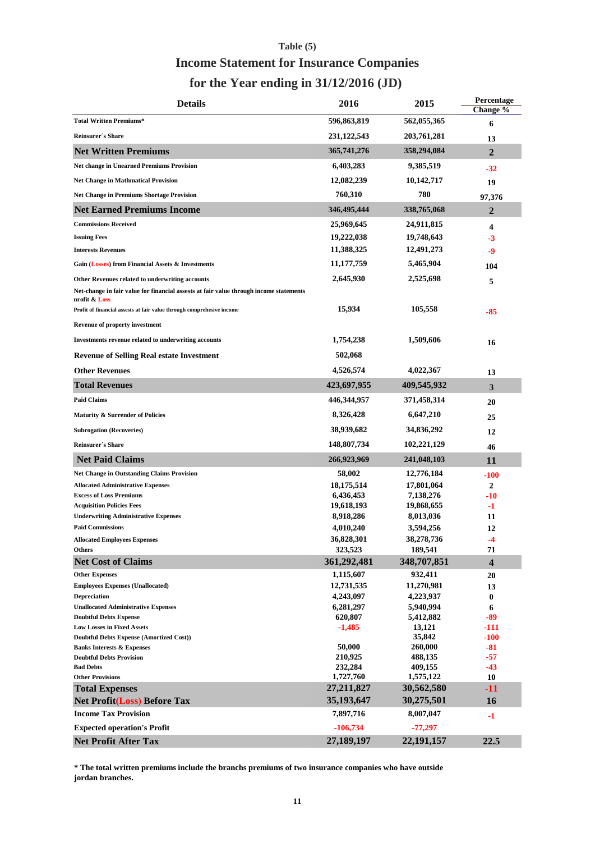# **for the Year ending in 31/12/2016 (JD) Table (5) Income Statement for Insurance Companies**

| <b>Details</b>                                                                                          | 2016                    | 2015                  | Percentage<br>Change %  |
|---------------------------------------------------------------------------------------------------------|-------------------------|-----------------------|-------------------------|
| <b>Total Written Premiums*</b>                                                                          | 596,863,819             | 562,055,365           | 6                       |
| <b>Reinsurer's Share</b>                                                                                | 231,122,543             | 203,761,281           | 13                      |
| <b>Net Written Premiums</b>                                                                             | 365,741,276             | 358,294,084           | $\mathbf{2}$            |
| <b>Net change in Unearned Premiums Provision</b>                                                        | 6,403,283               | 9,385,519             | $-32$                   |
| <b>Net Change in Mathmatical Provision</b>                                                              | 12,082,239              | 10,142,717            | 19                      |
| <b>Net Change in Premiums Shortage Provision</b>                                                        | 760,310                 | 780                   | 97,376                  |
| <b>Net Earned Premiums Income</b>                                                                       | 346,495,444             | 338,765,068           | 2                       |
| <b>Commissions Received</b>                                                                             | 25,969,645              | 24,911,815            |                         |
| <b>Issuing Fees</b>                                                                                     | 19,222,038              | 19,748,643            | 4                       |
| <b>Interests Revenues</b>                                                                               | 11,388,325              | 12,491,273            | $-3$                    |
|                                                                                                         |                         |                       | -9                      |
| Gain (Losses) from Financial Assets & Investments                                                       | 11,177,759              | 5,465,904             | 104                     |
| Other Revenues related to underwriting accounts                                                         | 2,645,930               | 2,525,698             | 5                       |
| Net-change in fair value for financial assests at fair value through income statements<br>profit & Loss |                         |                       |                         |
| Profit of financial assests at fair value through comprehesive income                                   | 15,934                  | 105,558               | -85                     |
| Revenue of property investment                                                                          |                         |                       |                         |
| Investments revenue related to underwriting accounts                                                    | 1,754,238               | 1,509,606             | 16                      |
| <b>Revenue of Selling Real estate Investment</b>                                                        | 502,068                 |                       |                         |
| <b>Other Revenues</b>                                                                                   | 4,526,574               | 4,022,367             | 13                      |
| <b>Total Revenues</b>                                                                                   | 423,697,955             | 409,545,932           | 3                       |
| <b>Paid Claims</b>                                                                                      | 446,344,957             | 371,458,314           | 20                      |
| Maturity & Surrender of Policies                                                                        | 8,326,428               | 6,647,210             | 25                      |
| <b>Subrogation (Recoveries)</b>                                                                         | 38,939,682              | 34,836,292            | 12                      |
| Reinsurer's Share                                                                                       | 148,807,734             | 102,221,129           | 46                      |
| <b>Net Paid Claims</b>                                                                                  | 266,923,969             | 241,048,103           | 11                      |
| Net Change in Outstanding Claims Provision                                                              | 58,002                  | 12,776,184            | -100                    |
| <b>Allocated Administrative Expenses</b>                                                                | 18,175,514              | 17,801,064            | 2                       |
| <b>Excess of Loss Premiums</b>                                                                          | 6,436,453               | 7,138,276             | -10                     |
| <b>Acquisition Policies Fees</b>                                                                        | 19,618,193              | 19,868,655            | -1                      |
| <b>Underwriting Administrative Expenses</b>                                                             | 8,918,286               | 8,013,036             | 11                      |
| <b>Paid Commissions</b>                                                                                 | 4,010,240               | 3,594,256             | 12                      |
| <b>Allocated Employees Expenses</b><br>Others                                                           | 36,828,301<br>323,523   | 38,278,736<br>189,541 | -4<br>71                |
| <b>Net Cost of Claims</b>                                                                               | 361,292,481             | 348,707,851           | $\overline{\mathbf{4}}$ |
|                                                                                                         |                         |                       |                         |
| <b>Other Expenses</b><br><b>Employees Expenses (Unallocated)</b>                                        | 1,115,607<br>12,731,535 | 932,411<br>11,270,981 | 20                      |
| <b>Depreciation</b>                                                                                     | 4,243,097               | 4,223,937             | 13<br>$\bf{0}$          |
| <b>Unallocated Administrative Expenses</b>                                                              | 6,281,297               | 5,940,994             | 6                       |
| <b>Doubtful Debts Expense</b>                                                                           | 620,807                 | 5,412,882             | -89                     |
| <b>Low Losses in Fixed Assets</b>                                                                       | $-1,485$                | 13,121                | -111                    |
| Doubtful Debts Expense (Amortized Cost))                                                                |                         | 35,842                | $-100$                  |
| <b>Banks Interests &amp; Expenses</b>                                                                   | 50,000                  | 260,000               | -81                     |
| <b>Doubtful Debts Provision</b>                                                                         | 210,925                 | 488,135               | -57                     |
| <b>Bad Debts</b>                                                                                        | 232,284                 | 409,155               | -43                     |
| <b>Other Provisions</b>                                                                                 | 1,727,760               | 1,575,122             | 10                      |
| <b>Total Expenses</b>                                                                                   | 27,211,827              | 30,562,580            | $-11$                   |
| <b>Net Profit(Loss) Before Tax</b>                                                                      | 35,193,647              | 30,275,501            | 16                      |
| <b>Income Tax Provision</b>                                                                             | 7,897,716               | 8,007,047             | -1                      |
| <b>Expected operation's Profit</b>                                                                      | $-106,734$              | $-77,297$             |                         |
| <b>Net Profit After Tax</b>                                                                             | 27,189,197              | 22,191,157            | 22.5                    |

**\* The total written premiums include the branchs premiums of two insurance companies who have outside jordan branches.**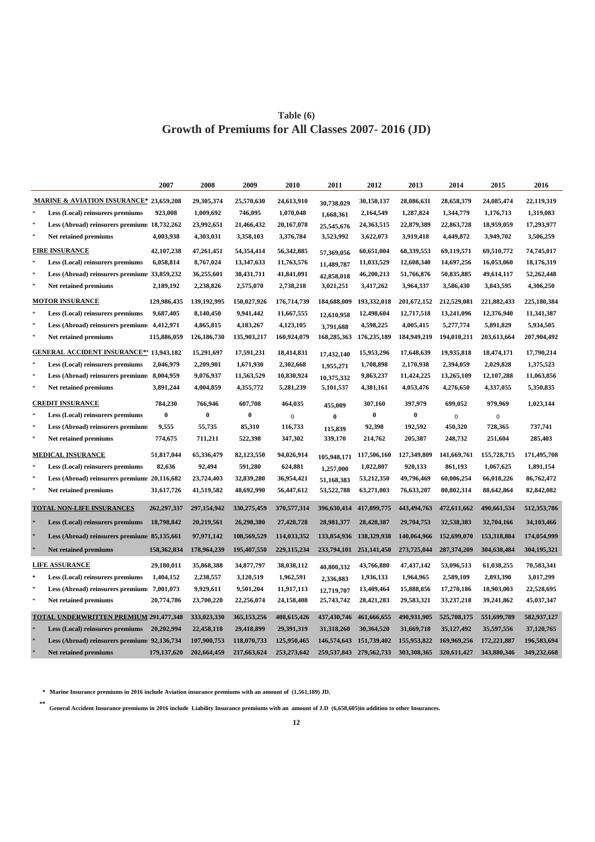### **Table (6) Growth of Premiums for All Classes 2007- 2016 (JD)**

|        |                                                    | 2007          | 2008        | 2009        | 2010          | 2011        | 2012                        | 2013          | 2014         | 2015        | 2016        |
|--------|----------------------------------------------------|---------------|-------------|-------------|---------------|-------------|-----------------------------|---------------|--------------|-------------|-------------|
|        | <b>MARINE &amp; AVIATION INSURANCE* 23,659,208</b> |               | 29,305,374  | 25,570,630  | 24,613,910    | 30,738,029  | 30,150,137                  | 28,086,631    | 28,658,379   | 24,085,474  | 22,119,319  |
|        | Less (Local) reinsurers premiums                   | 923,008       | 1,009,692   | 746,095     | 1,070,048     | 1,668,361   | 2,164,549                   | 1,287,824     | 1,344,779    | 1,176,713   | 1,319,083   |
| $\ast$ | Less (Abroad) reinsurers premium: 18,732,262       |               | 23,992,651  | 21,466,432  | 20,167,078    | 25,545,676  | 24,363,515                  | 22,879,389    | 22,863,728   | 18,959,059  | 17,293,977  |
| $\ast$ | Net retained premiums                              | 4,003,938     | 4,303,031   | 3,358,103   | 3,376,784     | 3,523,992   | 3,622,073                   | 3,919,418     | 4,449,872    | 3,949,702   | 3,506,259   |
|        | <b>FIRE INSURANCE</b>                              | 42,107,238    | 47,261,451  | 54,354,414  | 56,342,885    | 57,369,056  | 60,651,004                  | 68,339,553    | 69,119,571   | 69,510,772  | 74,745,017  |
|        | Less (Local) reinsurers premiums                   | 6,058,814     | 8,767,024   | 13,347,633  | 11,763,576    | 11,489,787  | 11,033,529                  | 12,608,340    | 14,697,256   | 16,053,060  | 18,176,319  |
|        | Less (Abroad) reinsurers premium: 33,859,232       |               | 36,255,601  | 38,431,711  | 41,841,091    | 42,858,018  | 46,200,213                  | 51,766,876    | 50,835,885   | 49,614,117  | 52,262,448  |
|        | Net retained premiums                              | 2,189,192     | 2,238,826   | 2,575,070   | 2,738,218     | 3,021,251   | 3,417,262                   | 3,964,337     | 3,586,430    | 3,843,595   | 4,306,250   |
|        | <b>MOTOR INSURANCE</b>                             | 129,986,435   | 139,192,995 | 150,027,926 | 176,714,739   | 184,688,009 | 193,332,018                 | 201,672,152   | 212,529,081  | 221,882,433 | 225,180,384 |
|        | Less (Local) reinsurers premiums                   | 9,687,405     | 8,140,450   | 9,941,442   | 11,667,555    | 12,610,958  | 12,498,604                  | 12,717,518    | 13,241,096   | 12,376,940  | 11,341,387  |
|        | Less (Abroad) reinsurers premium: 4,412,971        |               | 4,865,815   | 4,183,267   | 4,123,105     | 3,791,688   | 4,598,225                   | 4,005,415     | 5,277,774    | 5,891,829   | 5,934,505   |
|        | Net retained premiums                              | 115,886,059   | 126,186,730 | 135,903,217 | 160,924,079   | 168,285,363 | 176,235,189                 | 184,949,219   | 194,010,211  | 203,613,664 | 207,904,492 |
|        | <b>GENERAL ACCIDENT INSURANCE*</b> 13,943,182      |               | 15,291,697  | 17,591,231  | 18,414,831    | 17,432,140  | 15,953,296                  | 17,648,639    | 19,935,818   | 18,474,171  | 17,790,214  |
|        | Less (Local) reinsurers premiums                   | 2,046,979     | 2,209,901   | 1,671,930   | 2,302,668     | 1,955,271   | 1,708,898                   | 2,170,938     | 2,394,059    | 2,029,828   | 1,375,523   |
|        | Less (Abroad) reinsurers premium: 8,004,959        |               | 9,076,937   | 11,563,529  | 10,830,924    | 10,375,332  | 9,863,237                   | 11,424,225    | 13,265,109   | 12,107,288  | 11,063,856  |
|        | Net retained premiums                              | 3,891,244     | 4,004,859   | 4,355,772   | 5,281,239     | 5,101,537   | 4,381,161                   | 4,053,476     | 4,276,650    | 4,337,055   | 5,350,835   |
|        | <b>CREDIT INSURANCE</b>                            | 784,230       | 766,946     | 607,708     | 464,035       | 455,009     | 307,160                     | 397,979       | 699,052      | 979,969     | 1,023,144   |
|        | Less (Local) reinsurers premiums                   | $\bf{0}$      | $\bf{0}$    | $\bf{0}$    | $\mathbf{0}$  | $\bf{0}$    | $\bf{0}$                    | $\bf{0}$      | $\Omega$     | $\Omega$    |             |
|        | Less (Abroad) reinsurers premiums                  | 9,555         | 55,735      | 85,310      | 116,733       | 115.839     | 92,398                      | 192,592       | 450,320      | 728,365     | 737,741     |
|        | Net retained premiums                              | 774,675       | 711,211     | 522,398     | 347,302       | 339,170     | 214,762                     | 205,387       | 248,732      | 251,604     | 285,403     |
|        | <b>MEDICAL INSURANCE</b>                           | 51,817,044    | 65,336,479  | 82,123,550  | 94,026,914    | 105,948,171 | 117,506,160                 | 127,349,809   | 141,669,761  | 155,728,715 | 171,495,708 |
|        | Less (Local) reinsurers premiums                   | 82,636        | 92,494      | 591,280     | 624,881       | 1,257,000   | 1,022,807                   | 920,133       | 861,193      | 1,067,625   | 1,891,154   |
|        | Less (Abroad) reinsurers premium: 20,116,682       |               | 23,724,403  | 32,839,280  | 36,954,421    | 51,168,383  | 53,212,350                  | 49,796,469    | 60,006,254   | 66,018,226  | 86,762,472  |
|        | Net retained premiums                              | 31,617,726    | 41,519,582  | 48,692,990  | 56,447,612    | 53,522,788  | 63,271,003                  | 76,633,207    | 80,802,314   | 88,642,864  | 82,842,082  |
|        | <b>TOTAL NON-LIFE INSURANCES</b>                   | 262,297,337   | 297,154,942 | 330,275,459 | 370,577,314   |             | 396,630,414 417,899,775     | 443, 494, 763 | 472,611,662  | 490,661,534 | 512,353,786 |
|        | Less (Local) reinsurers premiums                   | 18,798,842    | 20,219,561  | 26,298,380  | 27,428,728    | 28,981,377  | 28,428,387                  | 29,704,753    | 32,538,383   | 32,704,166  | 34,103,466  |
|        | Less (Abroad) reinsurers premium: 85,135,661       |               | 97,971,142  | 108,569,529 | 114,033,352   | 133,854,936 | 138,329,938                 | 140,064,966   | 152,699,070  | 153,318,884 | 174,054,999 |
|        | <b>Net retained premiums</b>                       | 158,362,834   | 178,964,239 | 195,407,550 | 229,115,234   | 233,794,101 | 251,141,450                 | 273,725,044   | 287,374,209  | 304,638,484 | 304,195,321 |
|        | <b>LIFE ASSURANCE</b>                              | 29,180,011    | 35,868,388  | 34,877,797  | 38,038,112    | 40,800,332  | 43,766,880                  | 47, 437, 142  | 53,096,513   | 61,038,255  | 70,583,341  |
| $\ast$ | Less (Local) reinsurers premiums                   | 1,404,152     | 2,238,557   | 3,120,519   | 1,962,591     | 2,336,883   | 1,936,133                   | 1,964,965     | 2,589,109    | 2,893,390   | 3,017,299   |
|        | Less (Abroad) reinsurers premiums                  | 7,001,073     | 9,929,611   | 9,501,204   | 11,917,113    | 12,719,707  | 13,409,464                  | 15,888,856    | 17,270,186   | 18,903,003  | 22,528,695  |
|        | Net retained premiums                              | 20,774,786    | 23,700,220  | 22,256,074  | 24,158,408    | 25,743,742  | 28,421,283                  | 29,583,321    | 33,237,218   | 39,241,862  | 45,037,347  |
|        | <b>TOTAL UNDERWRITTEN PREMIUM 291,477,348</b>      |               | 333,023,330 | 365,153,256 | 408,615,426   | 437,430,746 | 461,666,655                 | 490,931,905   | 525,708,175  | 551,699,789 | 582,937,127 |
|        | Less (Local) reinsurers premiums                   | 20,202,994    | 22,458,118  | 29,418,899  | 29,391,319    | 31,318,260  | 30,364,520                  | 31,669,718    | 35, 127, 492 | 35,597,556  | 37,120,765  |
|        | Less (Abroad) reinsurers premium: 92,136,734       |               | 107,900,753 | 118,070,733 | 125,950,465   |             | 146,574,643 151,739,402     | 155,953,822   | 169,969,256  | 172,221,887 | 196,583,694 |
|        | Net retained premiums                              | 179, 137, 620 | 202,664,459 | 217,663,624 | 253, 273, 642 |             | 259, 537, 843 279, 562, 733 | 303,308,365   | 320,611,427  | 343,880,346 | 349,232,668 |

**\* Marine Insurance premiums in 2016 include Aviation insurance premiums with an amount of (1,561,189) JD.**

**\*\* General Accident Insurance premiums in 2016 include Liability Insurance premiums with an amount of J.D (6,658,605)in addition to other Insurances.**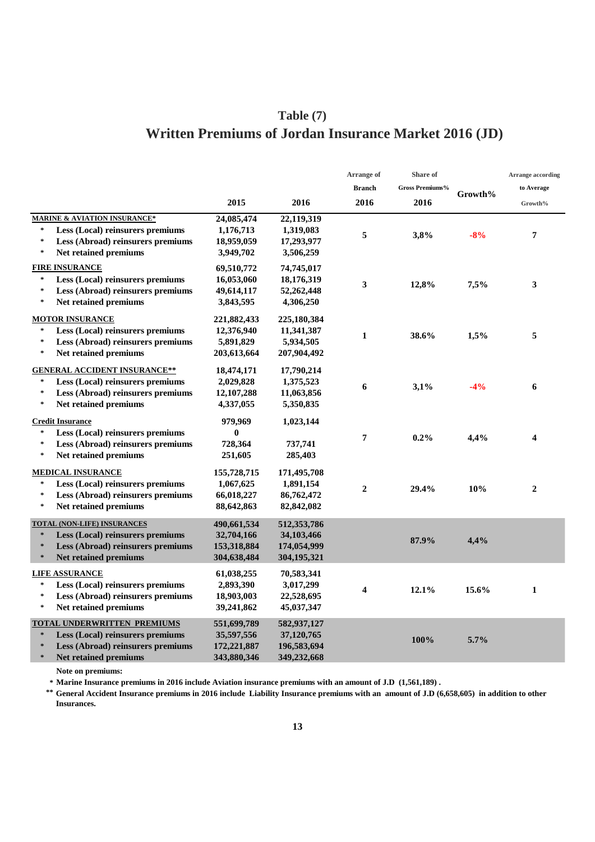# **Written Premiums of Jordan Insurance Market 2016 (JD) Table (7)**

|                                                                      |             |                          | Arrange of       | Share of        |         | <b>Arrange according</b> |
|----------------------------------------------------------------------|-------------|--------------------------|------------------|-----------------|---------|--------------------------|
|                                                                      |             |                          | <b>Branch</b>    | Gross Premiums% | Growth% | to Average               |
|                                                                      | 2015        | 2016                     | 2016             | 2016            |         | Growth%                  |
| <b>MARINE &amp; AVIATION INSURANCE*</b>                              | 24,085,474  | 22,119,319               |                  |                 |         |                          |
| Less (Local) reinsurers premiums<br>$\ast$                           | 1,176,713   | 1,319,083                |                  | 3,8%            | $-8%$   |                          |
| $\ast$<br>Less (Abroad) reinsurers premiums                          | 18,959,059  | 17,293,977               | 5                |                 |         | 7                        |
| $\ast$<br>Net retained premiums                                      | 3,949,702   | 3,506,259                |                  |                 |         |                          |
| <b>FIRE INSURANCE</b>                                                | 69,510,772  | 74,745,017               |                  |                 |         |                          |
| Less (Local) reinsurers premiums<br>$\ast$                           | 16,053,060  | 18,176,319               | 3                | 12,8%           | 7,5%    | 3                        |
| $\ast$<br>Less (Abroad) reinsurers premiums                          | 49,614,117  | 52,262,448               |                  |                 |         |                          |
| $\ast$<br>Net retained premiums                                      | 3,843,595   | 4,306,250                |                  |                 |         |                          |
| <b>MOTOR INSURANCE</b>                                               | 221,882,433 | 225,180,384              |                  |                 |         |                          |
| Less (Local) reinsurers premiums<br>$\ast$                           | 12,376,940  | 11,341,387               |                  |                 |         |                          |
| Less (Abroad) reinsurers premiums<br>$\ast$                          | 5,891,829   | 5,934,505                | $\mathbf{1}$     | 38.6%           | 1,5%    | 5                        |
| $\ast$<br>Net retained premiums                                      | 203,613,664 | 207,904,492              |                  |                 |         |                          |
| <b>GENERAL ACCIDENT INSURANCE**</b>                                  | 18,474,171  | 17,790,214               |                  |                 |         |                          |
| Less (Local) reinsurers premiums                                     | 2,029,828   | 1,375,523                |                  |                 |         |                          |
| $\ast$<br>Less (Abroad) reinsurers premiums                          | 12,107,288  | 11,063,856               | 6                | 3,1%            | $-4%$   | 6                        |
| $\ast$<br>Net retained premiums                                      | 4,337,055   | 5,350,835                |                  |                 |         |                          |
| <b>Credit Insurance</b>                                              | 979,969     | 1,023,144                |                  |                 |         |                          |
| Less (Local) reinsurers premiums<br>$\ast$                           | $\bf{0}$    |                          |                  |                 |         |                          |
| $\ast$<br>Less (Abroad) reinsurers premiums                          | 728,364     | 737,741                  | 7                | $0.2\%$         | 4,4%    | 4                        |
| $\ast$<br>Net retained premiums                                      | 251,605     | 285,403                  |                  |                 |         |                          |
|                                                                      |             |                          |                  |                 |         |                          |
| <b>MEDICAL INSURANCE</b><br>$\ast$                                   | 155,728,715 | 171,495,708              |                  |                 |         |                          |
| Less (Local) reinsurers premiums<br>$\ast$                           | 1,067,625   | 1,891,154                | $\boldsymbol{2}$ | 29.4%           | 10%     | $\boldsymbol{2}$         |
| Less (Abroad) reinsurers premiums<br>Net retained premiums<br>$\ast$ | 66,018,227  | 86,762,472<br>82,842,082 |                  |                 |         |                          |
|                                                                      | 88,642,863  |                          |                  |                 |         |                          |
| <b>TOTAL (NON-LIFE) INSURANCES</b>                                   | 490,661,534 | 512,353,786              |                  |                 |         |                          |
| Less (Local) reinsurers premiums<br>$\ast$                           | 32,704,166  | 34,103,466               |                  | 87.9%           | 4,4%    |                          |
| Less (Abroad) reinsurers premiums<br>$\star$                         | 153,318,884 | 174,054,999              |                  |                 |         |                          |
| <b>Net retained premiums</b><br>$\ast$                               | 304,638,484 | 304,195,321              |                  |                 |         |                          |
| <b>LIFE ASSURANCE</b>                                                | 61,038,255  | 70,583,341               |                  |                 |         |                          |
| Less (Local) reinsurers premiums                                     | 2,893,390   | 3,017,299                | 4                | 12.1%           | 15.6%   | $\mathbf{1}$             |
| $\ast$<br>Less (Abroad) reinsurers premiums                          | 18,903,003  | 22,528,695               |                  |                 |         |                          |
| $\ast$<br>Net retained premiums                                      | 39,241,862  | 45,037,347               |                  |                 |         |                          |
| <b>TOTAL UNDERWRITTEN PREMIUMS</b>                                   | 551,699,789 | 582,937,127              |                  |                 |         |                          |
| $\ast$<br>Less (Local) reinsurers premiums                           | 35,597,556  | 37,120,765               |                  | 100%            | 5.7%    |                          |
| $\star$<br>Less (Abroad) reinsurers premiums                         | 172,221,887 | 196,583,694              |                  |                 |         |                          |
| Net retained premiums<br>$\star$                                     | 343,880,346 | 349,232,668              |                  |                 |         |                          |

**Note on premiums:**

**\* Marine Insurance premiums in 2016 include Aviation insurance premiums with an amount of J.D (1,561,189) .**

**\*\* General Accident Insurance premiums in 2016 include Liability Insurance premiums with an amount of J.D (6,658,605) in addition to other Insurances.**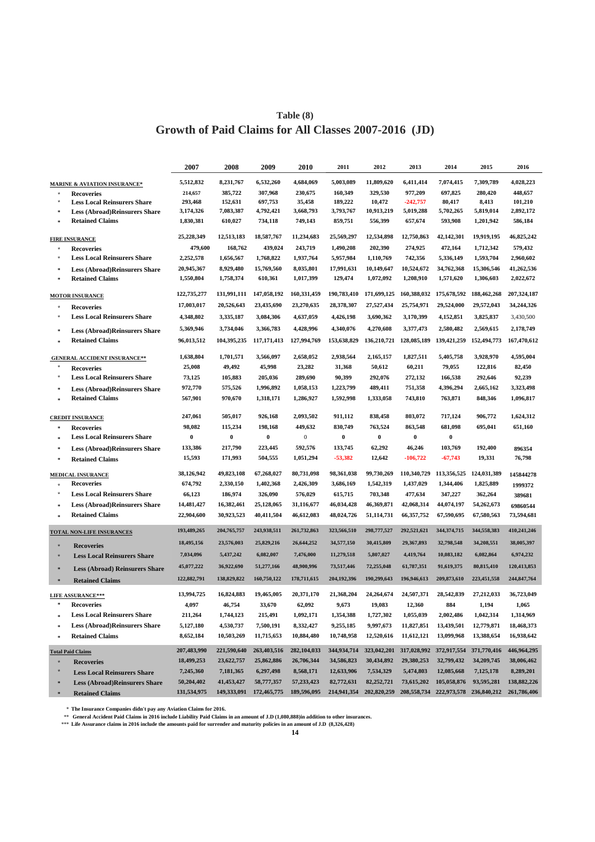### **Growth of Paid Claims for All Classes 2007-2016 (JD) Table (8)**

|                                         | 2007                                                                                                                                                                                                                                                                                                                        | 2008                          | 2009                          | 2010                            | 2011                             | 2012                            | 2013                                            | 2014                             | 2015                           | 2016                                                                                      |
|-----------------------------------------|-----------------------------------------------------------------------------------------------------------------------------------------------------------------------------------------------------------------------------------------------------------------------------------------------------------------------------|-------------------------------|-------------------------------|---------------------------------|----------------------------------|---------------------------------|-------------------------------------------------|----------------------------------|--------------------------------|-------------------------------------------------------------------------------------------|
| <b>MARINE &amp; AVIATION INSURANCE*</b> | 5,512,832                                                                                                                                                                                                                                                                                                                   | 8,231,767                     | 6,532,260                     | 4,684,069                       | 5.003.089                        | 11,809,620                      | 6,411,414                                       | 7,074,415                        | 7,309,789                      | 4,028,223                                                                                 |
|                                         | 214,657                                                                                                                                                                                                                                                                                                                     | 385,722                       | 307,968                       | 230,675                         | 160,349                          | 329,530                         | 977,209                                         | 697,825                          | 280,420                        | 448,657                                                                                   |
| <b>Less Local Reinsurers Share</b>      |                                                                                                                                                                                                                                                                                                                             |                               |                               |                                 |                                  |                                 |                                                 |                                  |                                | 101,210                                                                                   |
|                                         | 3,174,326                                                                                                                                                                                                                                                                                                                   | 7,083,387                     | 4,792,421                     | 3,668,793                       | 3,793,767                        | 10,913,219                      | 5,019,288                                       | 5,702,265                        | 5,819,014                      | 2,892,172                                                                                 |
| <b>Retained Claims</b>                  | 1,830,381                                                                                                                                                                                                                                                                                                                   | 610,027                       | 734,118                       | 749,143                         | 859,751                          | 556,399                         | 657,674                                         | 593,908                          | 1,201,942                      | 586,184                                                                                   |
|                                         | 25,228,349                                                                                                                                                                                                                                                                                                                  | 12,513,183                    | 18,587,767                    | 11,234,683                      | 25,569,297                       | 12,534,898                      | 12,750,863                                      | 42,142,301                       | 19,919,195                     | 46,825,242                                                                                |
| <b>Recoveries</b>                       | 479,600                                                                                                                                                                                                                                                                                                                     | 168,762                       | 439,024                       | 243,719                         | 1,490,208                        | 202,390                         | 274,925                                         | 472,164                          | 1,712,342                      | 579,432                                                                                   |
| <b>Less Local Reinsurers Share</b>      | 2,252,578                                                                                                                                                                                                                                                                                                                   | 1,656,567                     | 1,768,822                     | 1,937,764                       | 5,957,984                        | 1,110,769                       | 742,356                                         | 5,336,149                        | 1,593,704                      | 2,960,602                                                                                 |
|                                         | 20,945,367                                                                                                                                                                                                                                                                                                                  | 8,929,480                     | 15,769,560                    | 8,035,801                       | 17,991,631                       | 10,149,647                      | 10,524,672                                      | 34,762,368                       | 15,306,546                     | 41,262,536                                                                                |
| <b>Retained Claims</b>                  | 1,550,804                                                                                                                                                                                                                                                                                                                   | 1,758,374                     | 610,361                       | 1,017,399                       | 129,474                          | 1,072,092                       | 1,208,910                                       | 1,571,620                        | 1,306,603                      | 2,022,672                                                                                 |
|                                         | 122,735,277                                                                                                                                                                                                                                                                                                                 | 131,991,111                   | 147,058,192                   | 160,331,459                     | 190,783,410                      | 171,699,125                     |                                                 |                                  |                                | 207,324,187                                                                               |
| <b>Recoveries</b>                       | 17,003,017                                                                                                                                                                                                                                                                                                                  | 20,526,643                    | 23,435,690                    | 23,270,635                      | 28,378,307                       | 27,527,434                      | 25,754,971                                      | 29,524,000                       | 29,572,043                     | 34,244,326                                                                                |
| <b>Less Local Reinsurers Share</b>      | 4,348,802                                                                                                                                                                                                                                                                                                                   | 3,335,187                     | 3,084,306                     | 4,637,059                       | 4,426,198                        | 3,690,362                       | 3,170,399                                       | 4,152,851                        | 3,825,837                      | 3,430,500                                                                                 |
|                                         | 5,369,946                                                                                                                                                                                                                                                                                                                   | 3,734,046                     | 3,366,783                     | 4,428,996                       | 4,340,076                        | 4,270,608                       | 3,377,473                                       | 2,580,482                        | 2,569,615                      | 2,178,749                                                                                 |
| <b>Retained Claims</b>                  | 96,013,512                                                                                                                                                                                                                                                                                                                  | 104,395,235                   | 117, 171, 413                 | 127,994,769                     | 153,638,829                      | 136,210,721                     | 128,085,189                                     | 139,421,259                      |                                | 167,470,612                                                                               |
|                                         | 1,638,804                                                                                                                                                                                                                                                                                                                   | 1,701,571                     | 3,566,097                     | 2,658,052                       | 2,938,564                        | 2,165,157                       | 1,827,511                                       | 5,405,758                        | 3,928,970                      | 4,595,004                                                                                 |
|                                         | 25,008                                                                                                                                                                                                                                                                                                                      | 49,492                        | 45,998                        | 23,282                          | 31,368                           | 50,612                          | 60,211                                          | 79,055                           | 122,816                        | 82,450                                                                                    |
| <b>Less Local Reinsurers Share</b>      | 73,125                                                                                                                                                                                                                                                                                                                      | 105,883                       | 205,036                       | 289,690                         | 90,399                           | 292,076                         | 272,132                                         | 166,538                          | 292,646                        | 92,239                                                                                    |
|                                         |                                                                                                                                                                                                                                                                                                                             |                               |                               |                                 |                                  |                                 |                                                 |                                  |                                | 3,323,498                                                                                 |
| <b>Retained Claims</b>                  | 567,901                                                                                                                                                                                                                                                                                                                     | 970,670                       | 1,318,171                     | 1,286,927                       | 1,592,998                        | 1,333,058                       | 743,810                                         | 763,871                          | 848,346                        | 1,096,817                                                                                 |
|                                         |                                                                                                                                                                                                                                                                                                                             |                               |                               |                                 |                                  |                                 |                                                 |                                  |                                | 1,624,312                                                                                 |
|                                         | 98,082                                                                                                                                                                                                                                                                                                                      | 115,234                       | 198,168                       | 449,632                         | 830,749                          | 763,524                         | 863,548                                         | 681,098                          | 695,041                        | 651.160                                                                                   |
| <b>Recoveries</b>                       |                                                                                                                                                                                                                                                                                                                             |                               |                               |                                 |                                  |                                 |                                                 |                                  |                                |                                                                                           |
|                                         |                                                                                                                                                                                                                                                                                                                             |                               |                               |                                 |                                  |                                 |                                                 |                                  |                                |                                                                                           |
| <b>Less Local Reinsurers Share</b>      | 0                                                                                                                                                                                                                                                                                                                           | $\pmb{0}$                     | $\bf{0}$                      | $\boldsymbol{0}$                | $\bf{0}$                         | $\bf{0}$                        | 0                                               | $\bf{0}$                         |                                |                                                                                           |
| <b>Less (Abroad)Reinsurers Share</b>    | 133,386                                                                                                                                                                                                                                                                                                                     | 217,790                       | 223,445                       | 592,576                         | 133,745                          | 62,292                          | 46,246                                          | 103,769                          | 192,400                        | 896354                                                                                    |
| <b>Retained Claims</b>                  | 15,593                                                                                                                                                                                                                                                                                                                      | 171,993                       | 504,555                       | 1,051,294                       | $-53,382$                        | 12,642                          | $-106,722$                                      | $-67,743$                        | 19,331                         | 76,798                                                                                    |
| <b>MEDICAL INSURANCE</b>                | 38,126,942                                                                                                                                                                                                                                                                                                                  | 49,823,108                    | 67,268,027                    | 80,731,098                      | 98,361,038                       | 99,730,269                      | 110,340,729                                     | 113,356,525 124,031,389          |                                | 145844278                                                                                 |
| <b>Recoveries</b>                       | 674,792                                                                                                                                                                                                                                                                                                                     | 2,330,150                     | 1,402,368                     | 2,426,309                       | 3,686,169                        | 1,542,319                       | 1,437,029                                       | 1,344,406                        | 1,825,889                      | 1999372                                                                                   |
| <b>Less Local Reinsurers Share</b>      | 66,123                                                                                                                                                                                                                                                                                                                      | 186,974                       | 326,090                       | 576,029                         | 615,715                          | 703,348                         | 477,634                                         | 347,227                          | 362,264                        | 389681                                                                                    |
| <b>Less (Abroad)Reinsurers Share</b>    | 14,481,427                                                                                                                                                                                                                                                                                                                  | 16,382,461                    | 25,128,065                    | 31,116,677                      | 46,034,428                       | 46,369,871                      | 42,068,314                                      | 44,074,197                       | 54,262,673                     | 69860544                                                                                  |
| <b>Retained Claims</b>                  | 22,904,600                                                                                                                                                                                                                                                                                                                  | 30,923,523                    | 40,411,504                    | 46,612,083                      | 48,024,726                       | 51,114,731                      | 66, 357, 752                                    | 67,590,695                       | 67,580,563                     | 73,594,681                                                                                |
| <b>TOTAL NON-LIFE INSURANCES</b>        | 193,489,265                                                                                                                                                                                                                                                                                                                 | 204,765,757                   | 243,938,511                   | 261,732,863                     | 323,566,510                      | 298,777,527                     | 292,521,621                                     | 344,374,715                      | 344,558,383                    | 410,241,246                                                                               |
| <b>Recoveries</b>                       | 18,495,156                                                                                                                                                                                                                                                                                                                  | 23,576,003                    | 25,829,216                    | 26,644,252                      | 34,577,150                       | 30,415,809                      | 29,367,893                                      | 32,798,548                       | 34,208,551                     | 38,005,397                                                                                |
| <b>Less Local Reinsurers Share</b>      | 7,034,096                                                                                                                                                                                                                                                                                                                   | 5,437,242                     | 6,082,007                     | 7,476,000                       | 11,279,518                       | 5,807,027                       | 4,419,764                                       | 10,083,182                       | 6,082,864                      | 6,974,232                                                                                 |
| <b>Less (Abroad) Reinsurers Share</b>   | 45,077,222                                                                                                                                                                                                                                                                                                                  | 36,922,690                    | 51,277,166                    | 48,900,996                      | 73,517,446                       | 72,255,048                      | 61,787,351                                      | 91,619,375                       | 80,815,410                     | 120,413,853                                                                               |
| <b>Retained Claims</b>                  | 122,882,791                                                                                                                                                                                                                                                                                                                 | 138,829,822                   | 160,750,122                   | 178,711,615                     | 204,192,396                      | 190,299,643                     | 196,946,613                                     | 209,873,610                      | 223,451,558                    | 244,847,764                                                                               |
| <b>LIFE ASSURANCE***</b>                | 13,994,725                                                                                                                                                                                                                                                                                                                  | 16,824,883                    | 19,465,005                    | 20,371,170                      | 21,368,204                       | 24,264,674                      | 24,507,371                                      | 28,542,839                       | 27.212.033                     | 36,723,049                                                                                |
| <b>Recoveries</b>                       | 4,097                                                                                                                                                                                                                                                                                                                       | 46,754                        | 33,670                        | 62,092                          | 9,673                            | 19,083                          | 12,360                                          | 884                              | 1,194                          | 1,065                                                                                     |
| <b>Less Local Reinsurers Share</b>      | 211,264                                                                                                                                                                                                                                                                                                                     | 1,744,123                     | 215,491                       | 1,092,171                       | 1,354,388                        | 1,727,302                       | 1,055,039                                       | 2,002,486                        | 1,042,314                      | 1,314,969                                                                                 |
| <b>Less (Abroad)Reinsurers Share</b>    | 5,127,180                                                                                                                                                                                                                                                                                                                   | 4,530,737                     | 7,500,191                     | 8,332,427                       | 9,255,185                        | 9,997,673                       | 11,827,851                                      | 13,439,501                       | 12,779,871                     | 18,468,373                                                                                |
| <b>Retained Claims</b>                  | 8,652,184                                                                                                                                                                                                                                                                                                                   | 10,503,269                    | 11,715,653                    | 10,884,480                      | 10,748,958                       | 12,520,616                      | 11,612,121                                      | 13,099,968                       | 13,388,654                     | 16,938,642                                                                                |
| <b>Total Paid Claims</b>                | 207,483,990                                                                                                                                                                                                                                                                                                                 | 221,590,640                   | 263,403,516                   | 282,104,033                     | 344,934,714                      |                                 | 323,042,201 317,028,992 372,917,554 371,770,416 |                                  |                                | 446,964,295                                                                               |
| <b>Recoveries</b>                       | 18,499,253                                                                                                                                                                                                                                                                                                                  | 23,622,757                    | 25,862,886                    | 26,706,344                      | 34,586,823                       | 30,434,892                      | 29,380,253                                      | 32,799,432                       | 34,209,745                     | 38,006,462                                                                                |
| <b>Less Local Reinsurers Share</b>      | 7,245,360                                                                                                                                                                                                                                                                                                                   | 7,181,365                     | 6,297,498                     | 8,568,171                       | 12,633,906                       | 7,534,329                       | 5,474,803                                       | 12,085,668                       | 7,125,178                      | 8,289,201                                                                                 |
| <b>Less (Abroad)Reinsurers Share</b>    | 50,204,402                                                                                                                                                                                                                                                                                                                  | 41,453,427                    | 58,777,357                    | 57,233,423                      | 82,772,631                       | 82,252,721                      | 73,615,202                                      | 105,058,876                      | 93,595,281                     | 138,882,226                                                                               |
|                                         | <b>Recoveries</b><br><b>Less (Abroad)Reinsurers Share</b><br><b>FIRE INSURANCE</b><br><b>Less (Abroad)Reinsurers Share</b><br><b>MOTOR INSURANCE</b><br><b>Less (Abroad)Reinsurers Share</b><br><b>GENERAL ACCIDENT INSURANCE**</b><br><b>Recoveries</b><br><b>Less (Abroad)Reinsurers Share</b><br><b>CREDIT INSURANCE</b> | 293,468<br>972,770<br>247,061 | 152,631<br>575,526<br>505,017 | 697,753<br>1,996,892<br>926,168 | 35,458<br>1,058,153<br>2,093,502 | 189,222<br>1,223,799<br>911,112 | 10,472<br>489,411<br>838,458                    | $-242,757$<br>751,358<br>803,072 | 80,417<br>4,396,294<br>717,124 | 8,413<br>160, 388, 032 175, 678, 592 188, 462, 268<br>152,494,773<br>2,665,162<br>906,772 |

\* The Insurance Companies didn't pay any Aviation Claims for 2016.<br>\*\* General Accident Paid Claims in 2016 include Liability Paid Claims in an amount of J.D (1,080,888)in addition to other ins<br>\*\*\* Life Assurance claims in **The Insurance Companies didn't pay any Aviation Claims for 2016. General Accident Paid Claims in 2016 include Liability Paid Claims in an amount of J.D (1,080,888)in addition to other insurances.**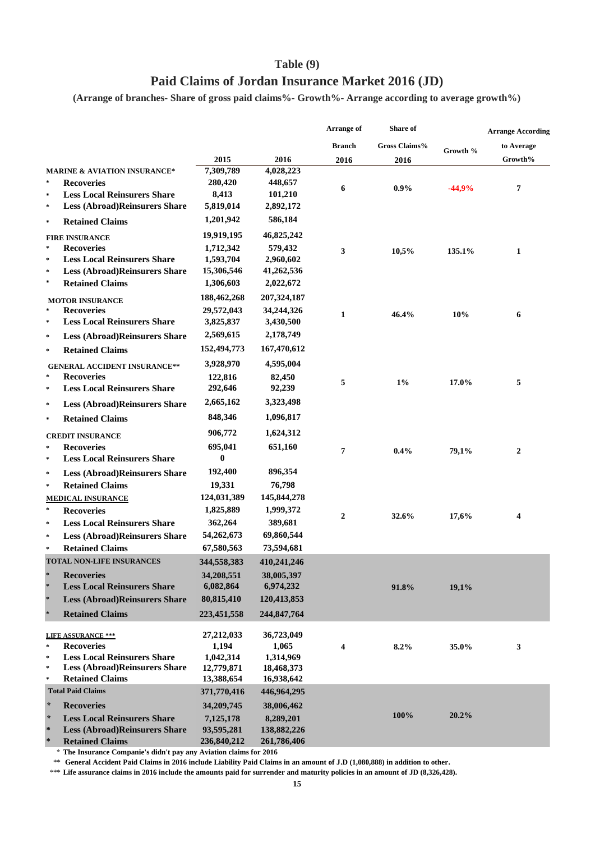## **Table (9)**

## **Paid Claims of Jordan Insurance Market 2016 (JD)**

**(Arrange of branches- Share of gross paid claims%- Growth%- Arrange according to average growth%)**

|                     |                                         |             |             | <b>Arrange of</b> | Share of      |          | <b>Arrange According</b> |
|---------------------|-----------------------------------------|-------------|-------------|-------------------|---------------|----------|--------------------------|
|                     |                                         |             |             | <b>Branch</b>     | Gross Claims% |          | to Average               |
|                     |                                         | 2015        | 2016        | 2016              | 2016          | Growth % | Growth%                  |
|                     | <b>MARINE &amp; AVIATION INSURANCE*</b> | 7,309,789   | 4,028,223   |                   |               |          |                          |
| $\ast$              | <b>Recoveries</b>                       | 280,420     | 448,657     | 6                 | $0.9\%$       | $-44,9%$ | 7                        |
| $\boldsymbol{\ast}$ | <b>Less Local Reinsurers Share</b>      | 8,413       | 101,210     |                   |               |          |                          |
| $\ast$              | <b>Less (Abroad)Reinsurers Share</b>    | 5,819,014   | 2,892,172   |                   |               |          |                          |
| $\ast$              | <b>Retained Claims</b>                  | 1,201,942   | 586,184     |                   |               |          |                          |
|                     | <b>FIRE INSURANCE</b>                   | 19,919,195  | 46,825,242  |                   |               |          |                          |
| $\ast$              | <b>Recoveries</b>                       | 1,712,342   | 579,432     | 3                 | 10,5%         | 135.1%   | 1                        |
| ×                   | <b>Less Local Reinsurers Share</b>      | 1,593,704   | 2,960,602   |                   |               |          |                          |
| $\approx$           | <b>Less (Abroad)Reinsurers Share</b>    | 15,306,546  | 41,262,536  |                   |               |          |                          |
| $\approx$           | <b>Retained Claims</b>                  | 1,306,603   | 2,022,672   |                   |               |          |                          |
|                     | <b>MOTOR INSURANCE</b>                  | 188,462,268 | 207,324,187 |                   |               |          |                          |
| ×                   | <b>Recoveries</b>                       | 29,572,043  | 34,244,326  | 1                 | 46.4%         | 10%      | 6                        |
| $\ast$              | <b>Less Local Reinsurers Share</b>      | 3,825,837   | 3,430,500   |                   |               |          |                          |
| $\boldsymbol{\ast}$ | <b>Less (Abroad)Reinsurers Share</b>    | 2,569,615   | 2,178,749   |                   |               |          |                          |
| $\ast$              | <b>Retained Claims</b>                  | 152,494,773 | 167,470,612 |                   |               |          |                          |
|                     | <b>GENERAL ACCIDENT INSURANCE**</b>     | 3,928,970   | 4,595,004   |                   |               |          |                          |
| $\ast$              | <b>Recoveries</b>                       | 122,816     | 82,450      | 5                 | $1\%$         | 17.0%    | 5                        |
| $\ast$              | <b>Less Local Reinsurers Share</b>      | 292,646     | 92,239      |                   |               |          |                          |
| $\boldsymbol{\ast}$ | <b>Less (Abroad)Reinsurers Share</b>    | 2,665,162   | 3,323,498   |                   |               |          |                          |
| $\boldsymbol{\ast}$ | <b>Retained Claims</b>                  | 848,346     | 1,096,817   |                   |               |          |                          |
|                     | <b>CREDIT INSURANCE</b>                 | 906,772     | 1,624,312   |                   |               |          |                          |
| $\boldsymbol{\ast}$ | <b>Recoveries</b>                       | 695,041     | 651,160     | 7                 | $0.4\%$       | 79,1%    | 2                        |
| $\ast$              | <b>Less Local Reinsurers Share</b>      | $\bf{0}$    |             |                   |               |          |                          |
| $\ast$              | <b>Less (Abroad)Reinsurers Share</b>    | 192,400     | 896,354     |                   |               |          |                          |
| $\ast$              | <b>Retained Claims</b>                  | 19,331      | 76,798      |                   |               |          |                          |
|                     | MEDICAL INSURANCE                       | 124,031,389 | 145,844,278 |                   |               |          |                          |
| $\ast$              | <b>Recoveries</b>                       | 1,825,889   | 1,999,372   | $\mathbf{2}$      | 32.6%         | 17,6%    | 4                        |
| $\mathcal{R}$       | <b>Less Local Reinsurers Share</b>      | 362,264     | 389,681     |                   |               |          |                          |
| $\boldsymbol{\ast}$ | <b>Less (Abroad)Reinsurers Share</b>    | 54,262,673  | 69,860,544  |                   |               |          |                          |
| $\ast$              | <b>Retained Claims</b>                  | 67,580,563  | 73,594,681  |                   |               |          |                          |
|                     | <b>TOTAL NON-LIFE INSURANCES</b>        | 344,558,383 | 410,241,246 |                   |               |          |                          |
| ×                   | <b>Recoveries</b>                       | 34,208,551  | 38,005,397  |                   |               |          |                          |
| *                   | <b>Less Local Reinsurers Share</b>      | 6,082,864   | 6,974,232   |                   | 91.8%         | 19,1%    |                          |
| ×                   | <b>Less (Abroad)Reinsurers Share</b>    | 80,815,410  | 120,413,853 |                   |               |          |                          |
| ×                   | <b>Retained Claims</b>                  | 223,451,558 | 244,847,764 |                   |               |          |                          |
|                     | <b>LIFE ASSURANCE ***</b>               | 27,212,033  | 36,723,049  |                   |               |          |                          |
| $\ast$              | <b>Recoveries</b>                       | 1,194       | 1,065       | 4                 | 8.2%          | 35.0%    | 3                        |
| $\ast$              | <b>Less Local Reinsurers Share</b>      | 1,042,314   | 1,314,969   |                   |               |          |                          |
| $\ast$              | <b>Less (Abroad)Reinsurers Share</b>    | 12,779,871  | 18,468,373  |                   |               |          |                          |
| $\boldsymbol{\ast}$ | <b>Retained Claims</b>                  | 13,388,654  | 16,938,642  |                   |               |          |                          |
|                     | <b>Total Paid Claims</b>                | 371,770,416 | 446,964,295 |                   |               |          |                          |
| $\star$             | <b>Recoveries</b>                       | 34,209,745  | 38,006,462  |                   |               |          |                          |
| $\star$             | <b>Less Local Reinsurers Share</b>      | 7,125,178   | 8,289,201   |                   | 100%          | 20.2%    |                          |
| $\ast$              | <b>Less (Abroad)Reinsurers Share</b>    | 93,595,281  | 138,882,226 |                   |               |          |                          |
| $\ast$              | <b>Retained Claims</b>                  | 236,840,212 | 261,786,406 |                   |               |          |                          |

**\* The Insurance Companie's didn't pay any Aviation claims for 2016**

\*\* **General Accident Paid Claims in 2016 include Liability Paid Claims in an amount of J.D (1,080,888) in addition to other.**

\*\*\* **Life assurance claims in 2016 include the amounts paid for surrender and maturity policies in an amount of JD (8,326,428).**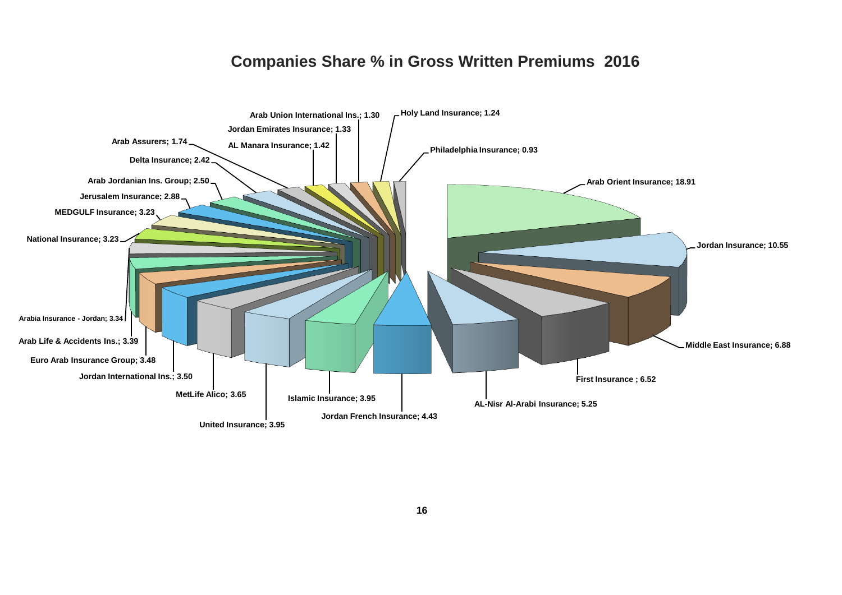## **Companies Share % in Gross Written Premiums 2016**

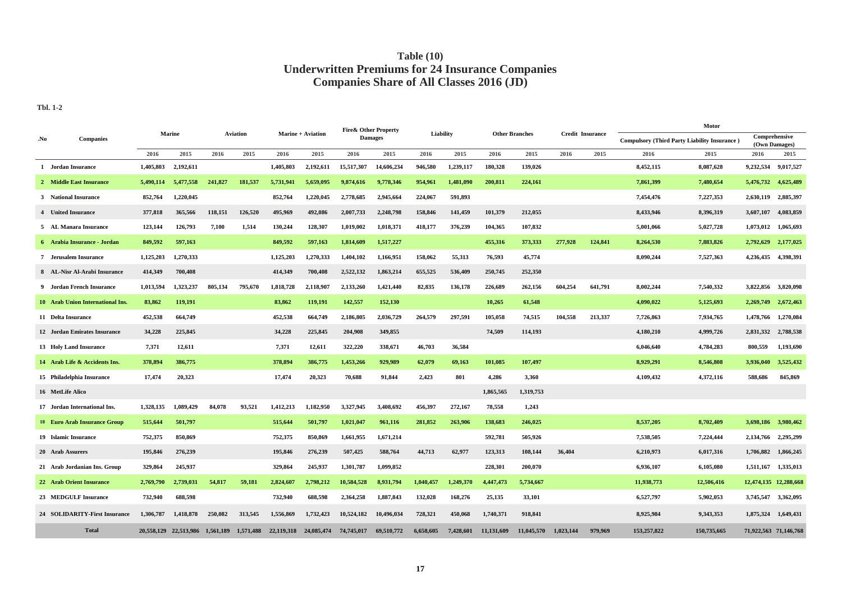### **Table (10) Underwritten Premiums for 24 Insurance Companies Companies Share of All Classes 2016 (JD)**

**Tbl. 1-2**

|     |                                     |           |                       |           |                 |            |                   | Fire& Other Property |                |           |           |            |                       |           |                         | Motor                                               |             |                       |                       |
|-----|-------------------------------------|-----------|-----------------------|-----------|-----------------|------------|-------------------|----------------------|----------------|-----------|-----------|------------|-----------------------|-----------|-------------------------|-----------------------------------------------------|-------------|-----------------------|-----------------------|
| No. | <b>Companies</b>                    |           | <b>Marine</b>         |           | <b>Aviation</b> |            | Marine + Aviation |                      | <b>Damages</b> | Liability |           |            | <b>Other Branches</b> |           | <b>Credit Insurance</b> | <b>Compulsory (Third Party Liability Insurance)</b> |             | Comprehensive         | (Own Damages)         |
|     |                                     | 2016      | 2015                  | 2016      | 2015            | 2016       | 2015              | 2016                 | 2015           | 2016      | 2015      | 2016       | 2015                  | 2016      | 2015                    | 2016                                                | 2015        | 2016                  | 2015                  |
|     | 1 Jordan Insurance                  | 1,405,803 | 2,192,611             |           |                 | 1,405,803  | 2,192,611         | 15,517,307           | 14,606,234     | 946,580   | 1,239,117 | 180.328    | 139,026               |           |                         | 8,452,115                                           | 8.087.628   | 9,232,534             | 9.017.527             |
|     | 2 Middle East Insurance             | 5,490,114 | 5,477,558             | 241,827   | 181,537         | 5,731,941  | 5,659,095         | 9,874,616            | 9,778,346      | 954,961   | 1,481,090 | 200,811    | 224,161               |           |                         | 7,861,399                                           | 7,480,654   | 5,476,732             | 4,625,489             |
|     | 3 National Insurance                | 852,764   | 1,220,045             |           |                 | 852,764    | 1,220,045         | 2,778,685            | 2,945,664      | 224,067   | 591,893   |            |                       |           |                         | 7,454,476                                           | 7,227,353   | 2,630,119             | 2,885,397             |
|     | 4 United Insurance                  | 377,818   | 365,566               | 118,151   | 126,520         | 495,969    | 492,086           | 2,007,733            | 2,248,798      | 158,846   | 141,459   | 101,379    | 212,055               |           |                         | 8,433,946                                           | 8,396,319   | 3,607,107             | 4,083,859             |
|     | 5 AL Manara Insurance               | 123,144   | 126,793               | 7,100     | 1,514           | 130,244    | 128,307           | 1,019,002            | 1,018,371      | 418,177   | 376,239   | 104,365    | 107,832               |           |                         | 5,001,066                                           | 5,027,728   | 1,073,012             | 1,065,693             |
|     | 6 Arabia Insurance - Jordan         | 849,592   | 597,163               |           |                 | 849,592    | 597,163           | 1,814,609            | 1,517,227      |           |           | 455,316    | 373,333               | 277,928   | 124,841                 | 8,264,530                                           | 7,883,826   | 2,792,629             | 2,177,025             |
|     | <b>7</b> Jerusalem Insurance        | 1,125,203 | 1,270,333             |           |                 | 1,125,203  | 1,270,333         | 1,404,102            | 1,166,951      | 158,062   | 55,313    | 76,593     | 45,774                |           |                         | 8,090,244                                           | 7,527,363   | 4,236,435             | 4,398,391             |
|     | 8 AL-Nisr Al-Arabi Insurance        | 414,349   | 700,408               |           |                 | 414,349    | 700,408           | 2,522,132            | 1,863,214      | 655,525   | 536,409   | 250,745    | 252,350               |           |                         |                                                     |             |                       |                       |
|     | 9 Jordan French Insurance           | 1,013,594 | 1,323,237             | 805,134   | 795,670         | 1,818,728  | 2,118,907         | 2,133,260            | 1,421,440      | 82,835    | 136,178   | 226,689    | 262,156               | 604,254   | 641,791                 | 8,002,244                                           | 7,540,332   | 3,822,856             | 3,820,098             |
|     | 10 Arab Union International Ins.    | 83,862    | 119,191               |           |                 | 83,862     | 119,191           | 142,557              | 152,130        |           |           | 10,265     | 61,548                |           |                         | 4,090,022                                           | 5,125,693   | 2,269,749             | 2,672,463             |
|     | 11 Delta Insurance                  | 452,538   | 664,749               |           |                 | 452,538    | 664,749           | 2,186,805            | 2,036,729      | 264,579   | 297,591   | 105,058    | 74,515                | 104,558   | 213,337                 | 7,726,863                                           | 7,934,765   | 1,478,766             | 1,270,084             |
|     | 12 Jordan Emirates Insurance        | 34,228    | 225,845               |           |                 | 34,228     | 225,845           | 204,908              | 349,855        |           |           | 74,509     | 114,193               |           |                         | 4,180,210                                           | 4,999,726   | 2,831,332             | 2,788,538             |
|     | 13 Holy Land Insurance              | 7,371     | 12,611                |           |                 | 7,371      | 12,611            | 322,220              | 338,671        | 46,703    | 36,584    |            |                       |           |                         | 6,046,640                                           | 4,784,283   | 800,559               | 1,193,690             |
|     | 14 Arab Life & Accidents Ins.       | 378,894   | 386,775               |           |                 | 378,894    | 386,775           | 1,453,266            | 929,989        | 62,079    | 69,163    | 101,085    | 107,497               |           |                         | 8,929,291                                           | 8,546,808   | 3,936,040             | 3,525,432             |
|     | 15 Philadelphia Insurance           | 17,474    | 20,323                |           |                 | 17,474     | 20,323            | 70,688               | 91,844         | 2,423     | 801       | 4,286      | 3,360                 |           |                         | 4,109,432                                           | 4,372,116   | 588,686               | 845,869               |
|     | 16 MetLife Alico                    |           |                       |           |                 |            |                   |                      |                |           |           | 1,865,565  | 1,319,753             |           |                         |                                                     |             |                       |                       |
|     | 17 Jordan International Ins.        | 1,328,135 | 1,089,429             | 84,078    | 93,521          | 1,412,213  | 1,182,950         | 3,327,945            | 3,408,692      | 456,397   | 272,167   | 78,558     | 1,243                 |           |                         |                                                     |             |                       |                       |
|     | <b>18 Euro Arab Insurance Group</b> | 515,644   | 501,797               |           |                 | 515,644    | 501,797           | 1,021,047            | 961,116        | 281,852   | 263,906   | 138,683    | 246,025               |           |                         | 8,537,205                                           | 8,702,409   | 3,698,186             | 3,980,462             |
|     | 19 Islamic Insurance                | 752,375   | 850,869               |           |                 | 752,375    | 850,869           | 1,661,955            | 1,671,214      |           |           | 592,781    | 505,926               |           |                         | 7,538,505                                           | 7,224,444   | 2,134,766             | 2,295,299             |
|     | 20 Arab Assurers                    | 195,846   | 276,239               |           |                 | 195,846    | 276,239           | 507,425              | 588,764        | 44,713    | 62,977    | 123,313    | 108,144               | 36,404    |                         | 6,210,973                                           | 6,017,316   | 1,706,882             | 1,866,245             |
|     | 21 Arab Jordanian Ins. Group        | 329,864   | 245,937               |           |                 | 329,864    | 245,937           | 1,301,787            | 1,099,852      |           |           | 228,301    | 200,070               |           |                         | 6,936,107                                           | 6,105,080   | 1,511,167             | 1,335,013             |
|     | 22 Arab Orient Insurance            | 2,769,790 | 2,739,031             | 54,817    | 59,181          | 2,824,607  | 2,798,212         | 10,584,528           | 8,931,794      | 1,040,457 | 1,249,370 | 4,447,473  | 5,734,667             |           |                         | 11,938,773                                          | 12,506,416  |                       | 12,474,135 12,288,668 |
|     | 23 MEDGULF Insurance                | 732,940   | 688,598               |           |                 | 732,940    | 688,598           | 2,364,258            | 1,887,843      | 132,028   | 168,276   | 25,135     | 33,101                |           |                         | 6,527,797                                           | 5,902,053   | 3,745,547             | 3,362,095             |
|     | 24 SOLIDARITY-First Insurance       | 1,306,787 | 1.418.878             | 250,082   | 313.545         | 1,556,869  | 1.732.423         | 10.524.182           | 10.496.034     | 728,321   | 450,068   | 1,740,371  | 918,841               |           |                         | 8,925,984                                           | 9,343,353   | 1,875,324             | 1,649,431             |
|     | <b>Total</b>                        |           | 20.558.129 22.513.986 | 1.561.189 | 1,571,488       | 22,119,318 | 24,085,474        | 74,745,017           | 69.510.772     | 6,658,605 | 7.428.601 | 11.131.609 | 11.045.570            | 1.023.144 | 979.969                 | 153,257,822                                         | 150,735,665 | 71,922,563 71,146,768 |                       |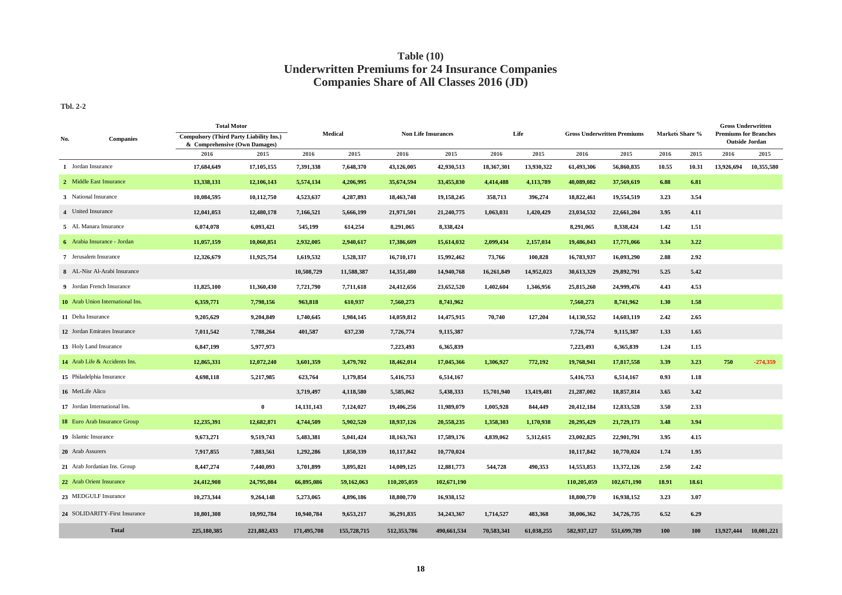### **Table (10) Companies Share of All Classes 2016 (JD) Underwritten Premiums for 24 Insurance Companies**

**Tbl. 2-2**

| No.                          | <b>Companies</b>                 | <b>Total Motor</b><br><b>Compulsory (Third Party Liability Ins.)</b><br>& Comprehensive (Own Damages) |             | <b>Medical</b> |             | <b>Non Life Insurances</b> |             | Life       |            | <b>Gross Underwritten Premiums</b> |             | <b>Markets Share %</b> |       | <b>Gross Underwritten</b><br><b>Premiums for Branches</b><br><b>Outside Jordan</b> |            |
|------------------------------|----------------------------------|-------------------------------------------------------------------------------------------------------|-------------|----------------|-------------|----------------------------|-------------|------------|------------|------------------------------------|-------------|------------------------|-------|------------------------------------------------------------------------------------|------------|
|                              |                                  | 2016                                                                                                  | 2015        | 2016           | 2015        | 2016                       | 2015        | 2016       | 2015       | 2016                               | 2015        | 2016                   | 2015  | 2016                                                                               | 2015       |
| 1 Jordan Insurance           |                                  | 17,684,649                                                                                            | 17,105,155  | 7,391,338      | 7,648,370   | 43,126,005                 | 42,930,513  | 18,367,301 | 13,930,322 | 61,493,306                         | 56,860,835  | 10.55                  | 10.31 | 13,926,694                                                                         | 10,355,580 |
|                              | 2 Middle East Insurance          | 13,338,131                                                                                            | 12,106,143  | 5,574,134      | 4,206,995   | 35,674,594                 | 33,455,830  | 4,414,488  | 4,113,789  | 40,089,082                         | 37,569,619  | 6.88                   | 6.81  |                                                                                    |            |
|                              | 3 National Insurance             | 10,084,595                                                                                            | 10,112,750  | 4,523,637      | 4,287,893   | 18,463,748                 | 19,158,245  | 358,713    | 396,274    | 18,822,461                         | 19,554,519  | 3.23                   | 3.54  |                                                                                    |            |
|                              | 4 United Insurance               | 12,041,053                                                                                            | 12,480,178  | 7,166,521      | 5,666,199   | 21,971,501                 | 21,240,775  | 1,063,031  | 1,420,429  | 23,034,532                         | 22,661,204  | 3.95                   | 4.11  |                                                                                    |            |
|                              | 5 AL Manara Insurance            | 6,074,078                                                                                             | 6,093,421   | 545,199        | 614,254     | 8,291,065                  | 8,338,424   |            |            | 8,291,065                          | 8,338,424   | 1.42                   | 1.51  |                                                                                    |            |
|                              | 6 Arabia Insurance - Jordan      | 11,057,159                                                                                            | 10,060,851  | 2,932,005      | 2,940,617   | 17,386,609                 | 15,614,032  | 2,099,434  | 2,157,034  | 19,486,043                         | 17,771,066  | 3.34                   | 3.22  |                                                                                    |            |
| 7 Jerusalem Insurance        |                                  | 12,326,679                                                                                            | 11,925,754  | 1,619,532      | 1,528,337   | 16,710,171                 | 15,992,462  | 73,766     | 100,828    | 16,783,937                         | 16,093,290  | 2.88                   | 2.92  |                                                                                    |            |
| 8 AL-Nisr Al-Arabi Insurance |                                  |                                                                                                       |             | 10,508,729     | 11,588,387  | 14,351,480                 | 14,940,768  | 16,261,849 | 14,952,023 | 30,613,329                         | 29,892,791  | 5.25                   | 5.42  |                                                                                    |            |
| 9 Jordan French Insurance    |                                  | 11,825,100                                                                                            | 11,360,430  | 7,721,790      | 7,711,618   | 24,412,656                 | 23,652,520  | 1,402,604  | 1,346,956  | 25,815,260                         | 24,999,476  | 4.43                   | 4.53  |                                                                                    |            |
|                              | 10 Arab Union International Ins. | 6,359,771                                                                                             | 7,798,156   | 963,818        | 610,937     | 7,560,273                  | 8,741,962   |            |            | 7,560,273                          | 8,741,962   | 1.30                   | 1.58  |                                                                                    |            |
|                              | 11 Delta Insurance               | 9,205,629                                                                                             | 9,204,849   | 1,740,645      | 1,984,145   | 14,059,812                 | 14,475,915  | 70,740     | 127,204    | 14,130,552                         | 14,603,119  | 2.42                   | 2.65  |                                                                                    |            |
|                              | 12 Jordan Emirates Insurance     | 7,011,542                                                                                             | 7,788,264   | 401,587        | 637,230     | 7,726,774                  | 9,115,387   |            |            | 7,726,774                          | 9,115,387   | 1.33                   | 1.65  |                                                                                    |            |
|                              | 13 Holy Land Insurance           | 6,847,199                                                                                             | 5,977,973   |                |             | 7,223,493                  | 6,365,839   |            |            | 7,223,493                          | 6,365,839   | 1.24                   | 1.15  |                                                                                    |            |
|                              | 14 Arab Life & Accidents Ins.    | 12,865,331                                                                                            | 12,072,240  | 3,601,359      | 3,479,702   | 18,462,014                 | 17,045,366  | 1,306,927  | 772,192    | 19,768,941                         | 17,817,558  | 3.39                   | 3.23  | 750                                                                                | $-274,359$ |
|                              | 15 Philadelphia Insurance        | 4,698,118                                                                                             | 5,217,985   | 623,764        | 1,179,854   | 5,416,753                  | 6,514,167   |            |            | 5,416,753                          | 6,514,167   | 0.93                   | 1.18  |                                                                                    |            |
| 16 MetLife Alico             |                                  |                                                                                                       |             | 3,719,497      | 4,118,580   | 5,585,062                  | 5,438,333   | 15,701,940 | 13,419,481 | 21,287,002                         | 18,857,814  | 3.65                   | 3.42  |                                                                                    |            |
|                              | 17 Jordan International Ins.     |                                                                                                       | $\bf{0}$    | 14,131,143     | 7,124,027   | 19,406,256                 | 11,989,079  | 1,005,928  | 844,449    | 20,412,184                         | 12,833,528  | 3.50                   | 2.33  |                                                                                    |            |
|                              | 18 Euro Arab Insurance Group     | 12,235,391                                                                                            | 12,682,871  | 4,744,509      | 5,902,520   | 18,937,126                 | 20,558,235  | 1,358,303  | 1,170,938  | 20,295,429                         | 21,729,173  | 3.48                   | 3.94  |                                                                                    |            |
|                              | 19 Islamic Insurance             | 9,673,271                                                                                             | 9,519,743   | 5,483,381      | 5,041,424   | 18, 163, 763               | 17,589,176  | 4,839,062  | 5,312,615  | 23,002,825                         | 22,901,791  | 3.95                   | 4.15  |                                                                                    |            |
|                              | 20 Arab Assurers                 | 7,917,855                                                                                             | 7,883,561   | 1,292,286      | 1,850,339   | 10,117,842                 | 10,770,024  |            |            | 10,117,842                         | 10,770,024  | 1.74                   | 1.95  |                                                                                    |            |
|                              | 21 Arab Jordanian Ins. Group     | 8,447,274                                                                                             | 7,440,093   | 3,701,899      | 3,895,821   | 14,009,125                 | 12,881,773  | 544,728    | 490,353    | 14,553,853                         | 13,372,126  | 2.50                   | 2.42  |                                                                                    |            |
|                              | 22 Arab Orient Insurance         | 24,412,908                                                                                            | 24,795,084  | 66,895,086     | 59,162,063  | 110,205,059                | 102,671,190 |            |            | 110,205,059                        | 102,671,190 | 18.91                  | 18.61 |                                                                                    |            |
|                              | 23 MEDGULF Insurance             | 10,273,344                                                                                            | 9,264,148   | 5,273,065      | 4,896,186   | 18,800,770                 | 16,938,152  |            |            | 18,800,770                         | 16,938,152  | 3.23                   | 3.07  |                                                                                    |            |
|                              | 24 SOLIDARITY-First Insurance    | 10,801,308                                                                                            | 10,992,784  | 10,940,784     | 9,653,217   | 36,291,835                 | 34,243,367  | 1,714,527  | 483,368    | 38,006,362                         | 34,726,735  | 6.52                   | 6.29  |                                                                                    |            |
|                              | <b>Total</b>                     | 225,180,385                                                                                           | 221,882,433 | 171,495,708    | 155,728,715 | 512,353,786                | 490,661,534 | 70,583,341 | 61,038,255 | 582,937,127                        | 551,699,789 | 100                    | 100   | 13,927,444                                                                         | 10,081,221 |